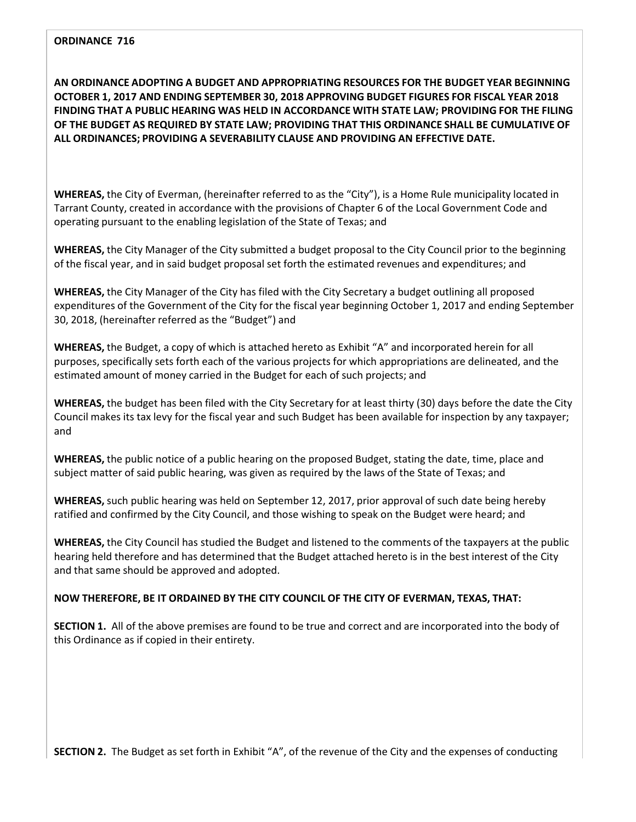**AN ORDINANCE ADOPTING A BUDGET AND APPROPRIATING RESOURCES FOR THE BUDGET YEAR BEGINNING OCTOBER 1, 2017 AND ENDING SEPTEMBER 30, 2018 APPROVING BUDGET FIGURES FOR FISCAL YEAR 2018 FINDING THAT A PUBLIC HEARING WAS HELD IN ACCORDANCE WITH STATE LAW; PROVIDING FOR THE FILING OF THE BUDGET AS REQUIRED BY STATE LAW; PROVIDING THAT THIS ORDINANCE SHALL BE CUMULATIVE OF ALL ORDINANCES; PROVIDING A SEVERABILITY CLAUSE AND PROVIDING AN EFFECTIVE DATE.**

**WHEREAS,** the City of Everman, (hereinafter referred to as the "City"), is a Home Rule municipality located in Tarrant County, created in accordance with the provisions of Chapter 6 of the Local Government Code and operating pursuant to the enabling legislation of the State of Texas; and

**WHEREAS,** the City Manager of the City submitted a budget proposal to the City Council prior to the beginning of the fiscal year, and in said budget proposal set forth the estimated revenues and expenditures; and

**WHEREAS,** the City Manager of the City has filed with the City Secretary a budget outlining all proposed expenditures of the Government of the City for the fiscal year beginning October 1, 2017 and ending September 30, 2018, (hereinafter referred as the "Budget") and

**WHEREAS,** the Budget, a copy of which is attached hereto as Exhibit "A" and incorporated herein for all purposes, specifically sets forth each of the various projects for which appropriations are delineated, and the estimated amount of money carried in the Budget for each of such projects; and

**WHEREAS,** the budget has been filed with the City Secretary for at least thirty (30) days before the date the City Council makes its tax levy for the fiscal year and such Budget has been available for inspection by any taxpayer; and

**WHEREAS,** the public notice of a public hearing on the proposed Budget, stating the date, time, place and subject matter of said public hearing, was given as required by the laws of the State of Texas; and

**WHEREAS,** such public hearing was held on September 12, 2017, prior approval of such date being hereby ratified and confirmed by the City Council, and those wishing to speak on the Budget were heard; and

**WHEREAS,** the City Council has studied the Budget and listened to the comments of the taxpayers at the public hearing held therefore and has determined that the Budget attached hereto is in the best interest of the City and that same should be approved and adopted.

#### **NOW THEREFORE, BE IT ORDAINED BY THE CITY COUNCIL OF THE CITY OF EVERMAN, TEXAS, THAT:**

**SECTION 1.** All of the above premises are found to be true and correct and are incorporated into the body of this Ordinance as if copied in their entirety.

**SECTION 2.** The Budget as set forth in Exhibit "A", of the revenue of the City and the expenses of conducting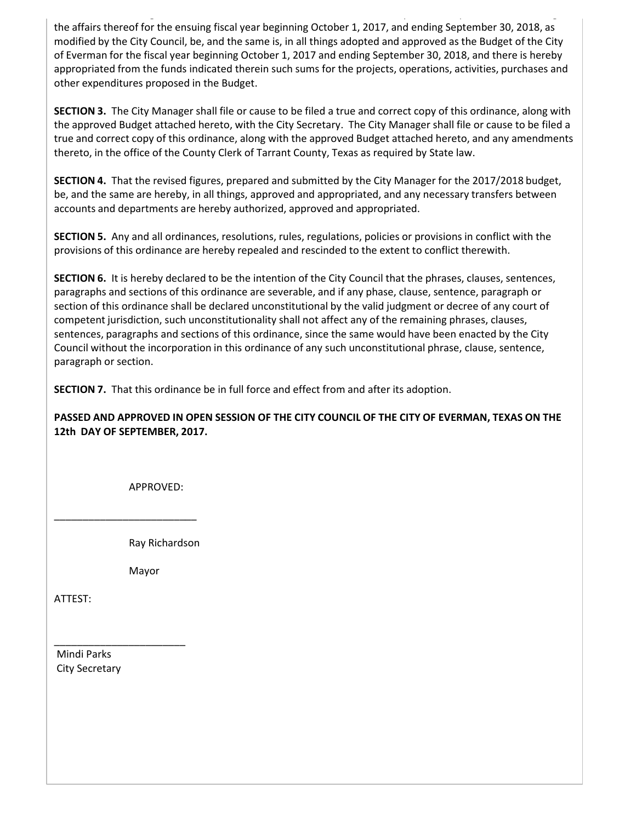g , y p g the affairs thereof for the ensuing fiscal year beginning October 1, 2017, and ending September 30, 2018, as modified by the City Council, be, and the same is, in all things adopted and approved as the Budget of the City of Everman for the fiscal year beginning October 1, 2017 and ending September 30, 2018, and there is hereby appropriated from the funds indicated therein such sums for the projects, operations, activities, purchases and other expenditures proposed in the Budget.

**SECTION 3.** The City Manager shall file or cause to be filed a true and correct copy of this ordinance, along with the approved Budget attached hereto, with the City Secretary. The City Manager shall file or cause to be filed a true and correct copy of this ordinance, along with the approved Budget attached hereto, and any amendments thereto, in the office of the County Clerk of Tarrant County, Texas as required by State law.

**SECTION 4.** That the revised figures, prepared and submitted by the City Manager for the 2017/2018 budget, be, and the same are hereby, in all things, approved and appropriated, and any necessary transfers between accounts and departments are hereby authorized, approved and appropriated.

**SECTION 5.** Any and all ordinances, resolutions, rules, regulations, policies or provisions in conflict with the provisions of this ordinance are hereby repealed and rescinded to the extent to conflict therewith.

**SECTION 6.** It is hereby declared to be the intention of the City Council that the phrases, clauses, sentences, paragraphs and sections of this ordinance are severable, and if any phase, clause, sentence, paragraph or section of this ordinance shall be declared unconstitutional by the valid judgment or decree of any court of competent jurisdiction, such unconstitutionality shall not affect any of the remaining phrases, clauses, sentences, paragraphs and sections of this ordinance, since the same would have been enacted by the City Council without the incorporation in this ordinance of any such unconstitutional phrase, clause, sentence, paragraph or section.

**SECTION 7.** That this ordinance be in full force and effect from and after its adoption.

#### **PASSED AND APPROVED IN OPEN SESSION OF THE CITY COUNCIL OF THE CITY OF EVERMAN, TEXAS ON THE 12th DAY OF SEPTEMBER, 2017.**

APPROVED:

Ray Richardson

Mayor

\_\_\_\_\_\_\_\_\_\_\_\_\_\_\_\_\_\_\_\_\_\_\_\_\_

\_\_\_\_\_\_\_\_\_\_\_\_\_\_\_\_\_\_\_\_\_\_\_

ATTEST:

Mindi Parks City Secretary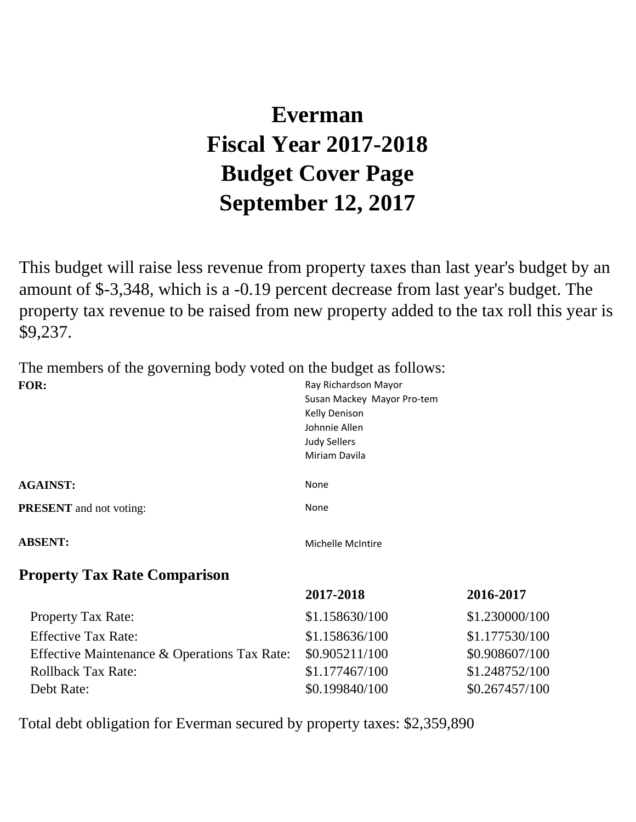# **Everman Fiscal Year 2017-2018 Budget Cover Page September 12, 2017**

This budget will raise less revenue from property taxes than last year's budget by an amount of \$-3,348, which is a -0.19 percent decrease from last year's budget. The property tax revenue to be raised from new property added to the tax roll this year is \$9,237.

The members of the governing body voted on the budget as follows: Ray Richardson Mayor **FOR:**

|                                | Susan Mackey Mayor Pro-tem<br>Kelly Denison<br>Johnnie Allen<br><b>Judy Sellers</b><br>Miriam Davila |
|--------------------------------|------------------------------------------------------------------------------------------------------|
| <b>AGAINST:</b>                | None                                                                                                 |
| <b>PRESENT</b> and not voting: | None                                                                                                 |
| <b>ABSENT:</b>                 | Michelle McIntire                                                                                    |

### **Property Tax Rate Comparison**

|                                              | 2017-2018      | 2016-2017      |
|----------------------------------------------|----------------|----------------|
| <b>Property Tax Rate:</b>                    | \$1.158630/100 | \$1.230000/100 |
| <b>Effective Tax Rate:</b>                   | \$1.158636/100 | \$1.177530/100 |
| Effective Maintenance & Operations Tax Rate: | \$0.905211/100 | \$0.908607/100 |
| <b>Rollback Tax Rate:</b>                    | \$1.177467/100 | \$1.248752/100 |
| Debt Rate:                                   | \$0.199840/100 | \$0.267457/100 |
|                                              |                |                |

Total debt obligation for Everman secured by property taxes: \$2,359,890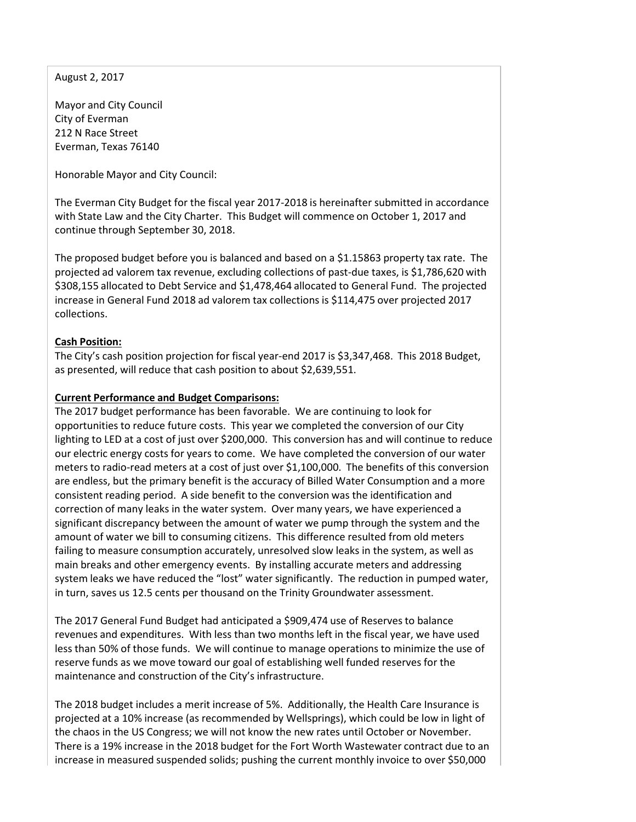August 2, 2017

Mayor and City Council City of Everman 212 N Race Street Everman, Texas 76140

Honorable Mayor and City Council:

The Everman City Budget for the fiscal year 2017-2018 is hereinafter submitted in accordance with State Law and the City Charter. This Budget will commence on October 1, 2017 and continue through September 30, 2018.

The proposed budget before you is balanced and based on a \$1.15863 property tax rate. The projected ad valorem tax revenue, excluding collections of past-due taxes, is \$1,786,620 with \$308,155 allocated to Debt Service and \$1,478,464 allocated to General Fund. The projected increase in General Fund 2018 ad valorem tax collections is \$114,475 over projected 2017 collections.

#### **Cash Position:**

The City's cash position projection for fiscal year-end 2017 is \$3,347,468. This 2018 Budget, as presented, will reduce that cash position to about \$2,639,551.

#### **Current Performance and Budget Comparisons:**

The 2017 budget performance has been favorable. We are continuing to look for opportunities to reduce future costs. This year we completed the conversion of our City lighting to LED at a cost of just over \$200,000. This conversion has and will continue to reduce our electric energy costs for years to come. We have completed the conversion of our water meters to radio-read meters at a cost of just over \$1,100,000. The benefits of this conversion are endless, but the primary benefit is the accuracy of Billed Water Consumption and a more consistent reading period. A side benefit to the conversion was the identification and correction of many leaks in the water system. Over many years, we have experienced a significant discrepancy between the amount of water we pump through the system and the amount of water we bill to consuming citizens. This difference resulted from old meters failing to measure consumption accurately, unresolved slow leaks in the system, as well as main breaks and other emergency events. By installing accurate meters and addressing system leaks we have reduced the "lost" water significantly. The reduction in pumped water, in turn, saves us 12.5 cents per thousand on the Trinity Groundwater assessment.

The 2017 General Fund Budget had anticipated a \$909,474 use of Reserves to balance revenues and expenditures. With less than two months left in the fiscal year, we have used less than 50% of those funds. We will continue to manage operations to minimize the use of reserve funds as we move toward our goal of establishing well funded reserves for the maintenance and construction of the City's infrastructure.

The 2018 budget includes a merit increase of 5%. Additionally, the Health Care Insurance is projected at a 10% increase (as recommended by Wellsprings), which could be low in light of the chaos in the US Congress; we will not know the new rates until October or November. There is a 19% increase in the 2018 budget for the Fort Worth Wastewater contract due to an increase in measured suspended solids; pushing the current monthly invoice to over \$50,000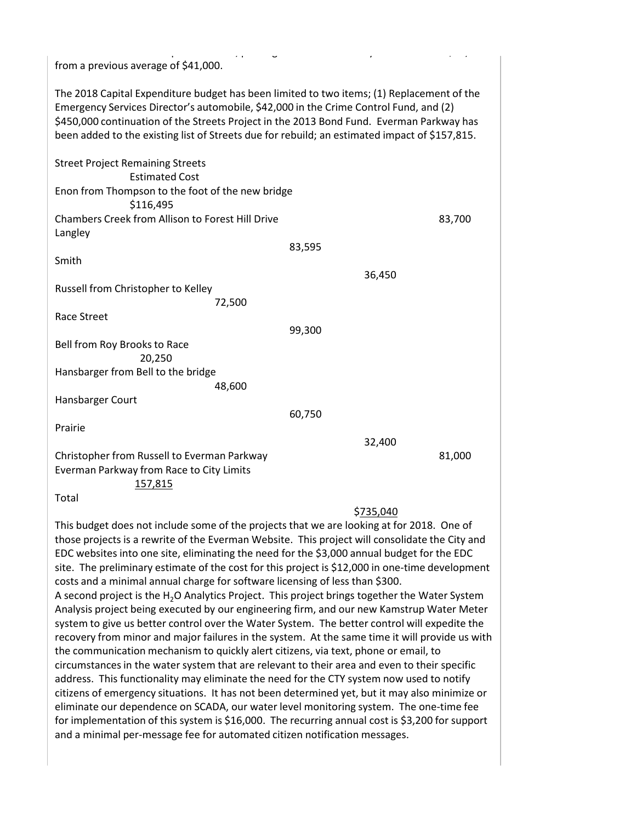| from a previous average of \$41,000.                                                                                                                                                                                                                                                                                                                                            |        |           |        |
|---------------------------------------------------------------------------------------------------------------------------------------------------------------------------------------------------------------------------------------------------------------------------------------------------------------------------------------------------------------------------------|--------|-----------|--------|
| The 2018 Capital Expenditure budget has been limited to two items; (1) Replacement of the<br>Emergency Services Director's automobile, \$42,000 in the Crime Control Fund, and (2)<br>\$450,000 continuation of the Streets Project in the 2013 Bond Fund. Everman Parkway has<br>been added to the existing list of Streets due for rebuild; an estimated impact of \$157,815. |        |           |        |
| <b>Street Project Remaining Streets</b><br><b>Estimated Cost</b>                                                                                                                                                                                                                                                                                                                |        |           |        |
| Enon from Thompson to the foot of the new bridge<br>\$116,495                                                                                                                                                                                                                                                                                                                   |        |           |        |
| <b>Chambers Creek from Allison to Forest Hill Drive</b><br>Langley                                                                                                                                                                                                                                                                                                              |        |           | 83,700 |
|                                                                                                                                                                                                                                                                                                                                                                                 | 83,595 |           |        |
| Smith                                                                                                                                                                                                                                                                                                                                                                           |        |           |        |
|                                                                                                                                                                                                                                                                                                                                                                                 |        | 36,450    |        |
| Russell from Christopher to Kelley                                                                                                                                                                                                                                                                                                                                              |        |           |        |
| 72,500                                                                                                                                                                                                                                                                                                                                                                          |        |           |        |
| <b>Race Street</b>                                                                                                                                                                                                                                                                                                                                                              |        |           |        |
|                                                                                                                                                                                                                                                                                                                                                                                 | 99,300 |           |        |
| Bell from Roy Brooks to Race                                                                                                                                                                                                                                                                                                                                                    |        |           |        |
| 20,250                                                                                                                                                                                                                                                                                                                                                                          |        |           |        |
| Hansbarger from Bell to the bridge                                                                                                                                                                                                                                                                                                                                              |        |           |        |
| 48,600                                                                                                                                                                                                                                                                                                                                                                          |        |           |        |
| Hansbarger Court                                                                                                                                                                                                                                                                                                                                                                | 60,750 |           |        |
| Prairie                                                                                                                                                                                                                                                                                                                                                                         |        |           |        |
|                                                                                                                                                                                                                                                                                                                                                                                 |        | 32,400    |        |
| Christopher from Russell to Everman Parkway<br>Everman Parkway from Race to City Limits<br>157,815                                                                                                                                                                                                                                                                              |        |           | 81,000 |
| Total                                                                                                                                                                                                                                                                                                                                                                           |        |           |        |
|                                                                                                                                                                                                                                                                                                                                                                                 |        | \$735,040 |        |

This budget does not include some of the projects that we are looking at for 2018. One of those projects is a rewrite of the Everman Website. This project will consolidate the City and EDC websites into one site, eliminating the need for the \$3,000 annual budget for the EDC site. The preliminary estimate of the cost for this project is \$12,000 in one-time development costs and a minimal annual charge for software licensing of less than \$300. A second project is the H<sub>2</sub>O Analytics Project. This project brings together the Water System Analysis project being executed by our engineering firm, and our new Kamstrup Water Meter system to give us better control over the Water System. The better control will expedite the recovery from minor and major failures in the system. At the same time it will provide us with the communication mechanism to quickly alert citizens, via text, phone or email, to circumstances in the water system that are relevant to their area and even to their specific address. This functionality may eliminate the need for the CTY system now used to notify citizens of emergency situations. It has not been determined yet, but it may also minimize or eliminate our dependence on SCADA, our water level monitoring system. The one-time fee for implementation of this system is \$16,000. The recurring annual cost is \$3,200 for support and a minimal per-message fee for automated citizen notification messages.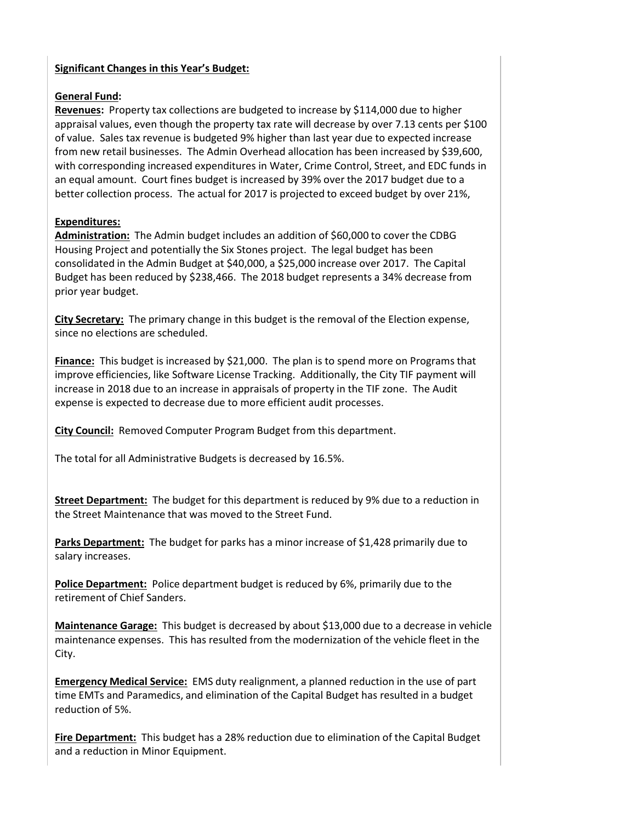#### **Significant Changes in this Year's Budget:**

#### **General Fund:**

**Revenues:** Property tax collections are budgeted to increase by \$114,000 due to higher appraisal values, even though the property tax rate will decrease by over 7.13 cents per \$100 of value. Sales tax revenue is budgeted 9% higher than last year due to expected increase from new retail businesses. The Admin Overhead allocation has been increased by \$39,600, with corresponding increased expenditures in Water, Crime Control, Street, and EDC funds in an equal amount. Court fines budget is increased by 39% over the 2017 budget due to a better collection process. The actual for 2017 is projected to exceed budget by over 21%,

#### **Expenditures:**

**Administration:** The Admin budget includes an addition of \$60,000 to cover the CDBG Housing Project and potentially the Six Stones project. The legal budget has been consolidated in the Admin Budget at \$40,000, a \$25,000 increase over 2017. The Capital Budget has been reduced by \$238,466. The 2018 budget represents a 34% decrease from prior year budget.

**City Secretary:** The primary change in this budget is the removal of the Election expense, since no elections are scheduled.

**Finance:** This budget is increased by \$21,000. The plan is to spend more on Programs that improve efficiencies, like Software License Tracking. Additionally, the City TIF payment will increase in 2018 due to an increase in appraisals of property in the TIF zone. The Audit expense is expected to decrease due to more efficient audit processes.

**City Council:** Removed Computer Program Budget from this department.

The total for all Administrative Budgets is decreased by 16.5%.

**Street Department:** The budget for this department is reduced by 9% due to a reduction in the Street Maintenance that was moved to the Street Fund.

**Parks Department:** The budget for parks has a minor increase of \$1,428 primarily due to salary increases.

**Police Department:** Police department budget is reduced by 6%, primarily due to the retirement of Chief Sanders.

**Maintenance Garage:** This budget is decreased by about \$13,000 due to a decrease in vehicle maintenance expenses. This has resulted from the modernization of the vehicle fleet in the City.

**Emergency Medical Service:** EMS duty realignment, a planned reduction in the use of part time EMTs and Paramedics, and elimination of the Capital Budget has resulted in a budget reduction of 5%.

**Fire Department:** This budget has a 28% reduction due to elimination of the Capital Budget and a reduction in Minor Equipment.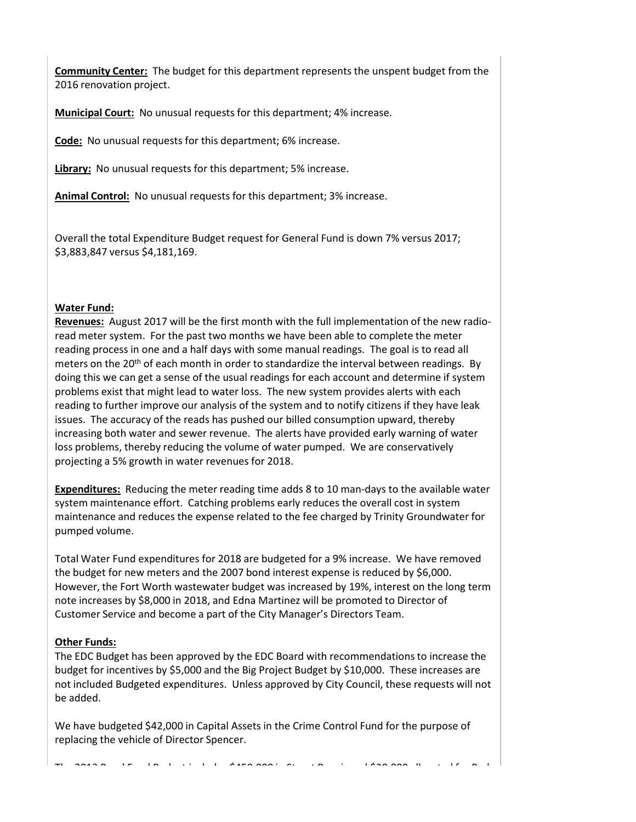**Community Center:** The budget for this department represents the unspent budget from the 2016 renovation project.

**Municipal Court:** No unusual requests for this department; 4% increase.

**Code:** No unusual requests for this department; 6% increase.

**Library:** No unusual requests for this department; 5% increase.

**Animal Control:** No unusual requests for this department; 3% increase.

Overall the total Expenditure Budget request for General Fund is down 7% versus 2017; \$3,883,847 versus \$4,181,169.

#### **Water Fund:**

**Revenues:** August 2017 will be the first month with the full implementation of the new radioread meter system. For the past two months we have been able to complete the meter reading process in one and a half days with some manual readings. The goal is to read all meters on the 20<sup>th</sup> of each month in order to standardize the interval between readings. By doing this we can get a sense of the usual readings for each account and determine if system problems exist that might lead to water loss. The new system provides alerts with each reading to further improve our analysis of the system and to notify citizens if they have leak issues. The accuracy of the reads has pushed our billed consumption upward, thereby increasing both water and sewer revenue. The alerts have provided early warning of water loss problems, thereby reducing the volume of water pumped. We are conservatively projecting a 5% growth in water revenues for 2018.

**Expenditures:** Reducing the meter reading time adds 8 to 10 man-days to the available water system maintenance effort. Catching problems early reduces the overall cost in system maintenance and reduces the expense related to the fee charged by Trinity Groundwater for pumped volume.

Total Water Fund expenditures for 2018 are budgeted for a 9% increase. We have removed the budget for new meters and the 2007 bond interest expense is reduced by \$6,000. However, the Fort Worth wastewater budget was increased by 19%, interest on the long term note increases by \$8,000 in 2018, and Edna Martinez will be promoted to Director of Customer Service and become a part of the City Manager's Directors Team.

#### **Other Funds:**

The EDC Budget has been approved by the EDC Board with recommendations to increase the budget for incentives by \$5,000 and the Big Project Budget by \$10,000. These increases are not included Budgeted expenditures. Unless approved by City Council, these requests will not be added.

We have budgeted \$42,000 in Capital Assets in the Crime Control Fund for the purpose of replacing the vehicle of Director Spencer.

The 2014 B de F d B d t i l d  $\frac{1}{2}$  d  $\frac{1}{2}$  d  $\frac{1}{2}$  on  $\frac{1}{2}$  the  $\frac{1}{2}$  d  $\frac{1}{2}$  f  $\frac{1}{2}$  f  $\frac{1}{2}$  f  $\frac{1}{2}$  f  $\frac{1}{2}$  f  $\frac{1}{2}$  f  $\frac{1}{2}$  f  $\frac{1}{2}$  f  $\frac{1}{2}$  f  $\frac{1}{2}$  f  $\frac{1}{2}$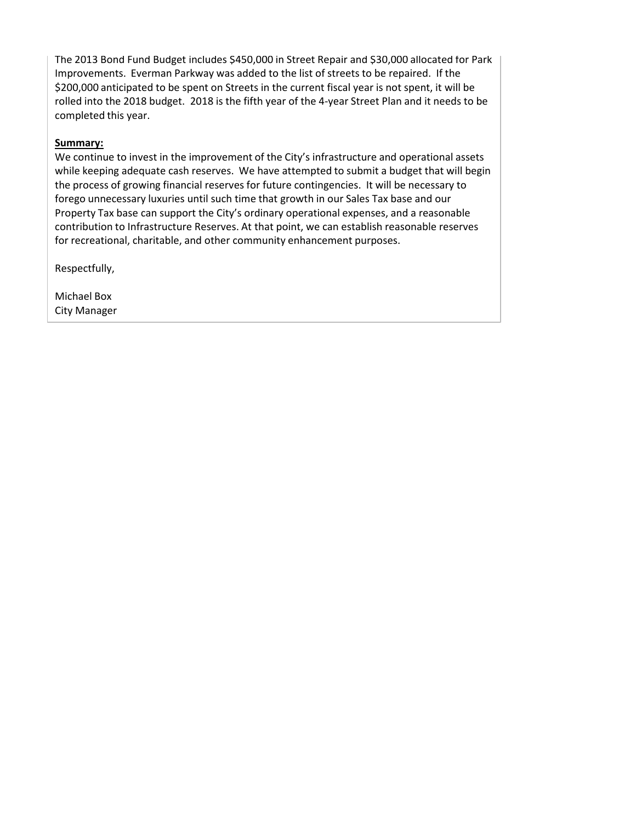The 2013 Bond Fund Budget includes \$450,000 in Street Repair and \$30,000 allocated for Park Improvements. Everman Parkway was added to the list of streets to be repaired. If the \$200,000 anticipated to be spent on Streets in the current fiscal year is not spent, it will be rolled into the 2018 budget. 2018 is the fifth year of the 4-year Street Plan and it needs to be completed this year.

#### **Summary:**

We continue to invest in the improvement of the City's infrastructure and operational assets while keeping adequate cash reserves. We have attempted to submit a budget that will begin the process of growing financial reserves for future contingencies. It will be necessary to forego unnecessary luxuries until such time that growth in our Sales Tax base and our Property Tax base can support the City's ordinary operational expenses, and a reasonable contribution to Infrastructure Reserves. At that point, we can establish reasonable reserves for recreational, charitable, and other community enhancement purposes.

Respectfully,

Michael Box City Manager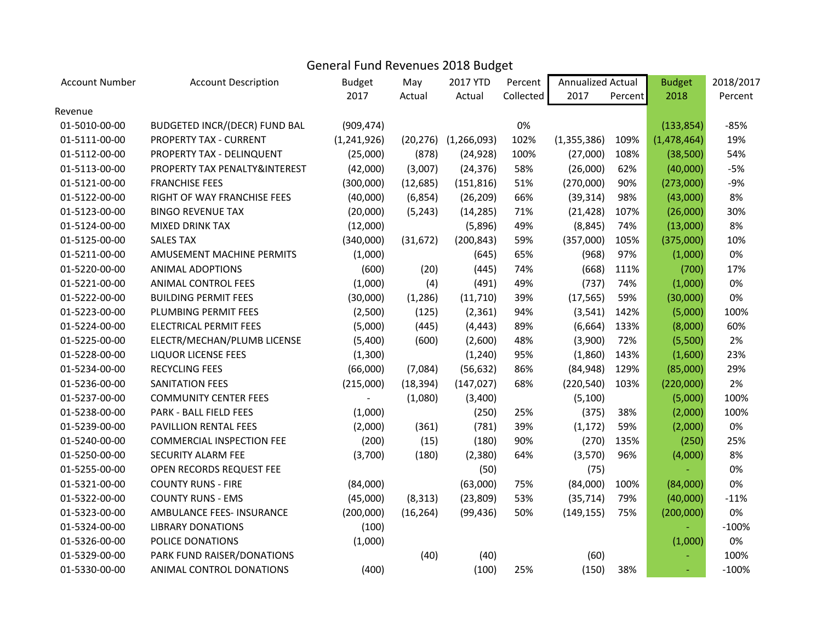# General Fund Revenues 2018 Budget

| <b>Account Number</b> | <b>Account Description</b>           | <b>Budget</b> | May       | 2017 YTD                    | Percent   | Annualized Actual |         | <b>Budget</b> | 2018/2017 |
|-----------------------|--------------------------------------|---------------|-----------|-----------------------------|-----------|-------------------|---------|---------------|-----------|
|                       |                                      | 2017          | Actual    | Actual                      | Collected | 2017              | Percent | 2018          | Percent   |
| Revenue               |                                      |               |           |                             |           |                   |         |               |           |
| 01-5010-00-00         | <b>BUDGETED INCR/(DECR) FUND BAL</b> | (909, 474)    |           |                             | 0%        |                   |         | (133, 854)    | $-85%$    |
| 01-5111-00-00         | PROPERTY TAX - CURRENT               | (1,241,926)   |           | $(20, 276)$ $(1, 266, 093)$ | 102%      | (1,355,386)       | 109%    | (1, 478, 464) | 19%       |
| 01-5112-00-00         | PROPERTY TAX - DELINQUENT            | (25,000)      | (878)     | (24, 928)                   | 100%      | (27,000)          | 108%    | (38, 500)     | 54%       |
| 01-5113-00-00         | PROPERTY TAX PENALTY&INTEREST        | (42,000)      | (3,007)   | (24, 376)                   | 58%       | (26,000)          | 62%     | (40,000)      | $-5%$     |
| 01-5121-00-00         | <b>FRANCHISE FEES</b>                | (300,000)     | (12, 685) | (151, 816)                  | 51%       | (270,000)         | 90%     | (273,000)     | $-9%$     |
| 01-5122-00-00         | RIGHT OF WAY FRANCHISE FEES          | (40,000)      | (6, 854)  | (26, 209)                   | 66%       | (39, 314)         | 98%     | (43,000)      | 8%        |
| 01-5123-00-00         | <b>BINGO REVENUE TAX</b>             | (20,000)      | (5, 243)  | (14, 285)                   | 71%       | (21, 428)         | 107%    | (26,000)      | 30%       |
| 01-5124-00-00         | <b>MIXED DRINK TAX</b>               | (12,000)      |           | (5,896)                     | 49%       | (8, 845)          | 74%     | (13,000)      | 8%        |
| 01-5125-00-00         | <b>SALES TAX</b>                     | (340,000)     | (31, 672) | (200, 843)                  | 59%       | (357,000)         | 105%    | (375,000)     | 10%       |
| 01-5211-00-00         | AMUSEMENT MACHINE PERMITS            | (1,000)       |           | (645)                       | 65%       | (968)             | 97%     | (1,000)       | $0\%$     |
| 01-5220-00-00         | <b>ANIMAL ADOPTIONS</b>              | (600)         | (20)      | (445)                       | 74%       | (668)             | 111%    | (700)         | 17%       |
| 01-5221-00-00         | <b>ANIMAL CONTROL FEES</b>           | (1,000)       | (4)       | (491)                       | 49%       | (737)             | 74%     | (1,000)       | 0%        |
| 01-5222-00-00         | <b>BUILDING PERMIT FEES</b>          | (30,000)      | (1, 286)  | (11, 710)                   | 39%       | (17, 565)         | 59%     | (30,000)      | 0%        |
| 01-5223-00-00         | PLUMBING PERMIT FEES                 | (2,500)       | (125)     | (2, 361)                    | 94%       | (3, 541)          | 142%    | (5,000)       | 100%      |
| 01-5224-00-00         | <b>ELECTRICAL PERMIT FEES</b>        | (5,000)       | (445)     | (4, 443)                    | 89%       | (6,664)           | 133%    | (8,000)       | 60%       |
| 01-5225-00-00         | ELECTR/MECHAN/PLUMB LICENSE          | (5,400)       | (600)     | (2,600)                     | 48%       | (3,900)           | 72%     | (5,500)       | 2%        |
| 01-5228-00-00         | <b>LIQUOR LICENSE FEES</b>           | (1,300)       |           | (1, 240)                    | 95%       | (1,860)           | 143%    | (1,600)       | 23%       |
| 01-5234-00-00         | <b>RECYCLING FEES</b>                | (66,000)      | (7,084)   | (56, 632)                   | 86%       | (84, 948)         | 129%    | (85,000)      | 29%       |
| 01-5236-00-00         | SANITATION FEES                      | (215,000)     | (18, 394) | (147, 027)                  | 68%       | (220, 540)        | 103%    | (220,000)     | 2%        |
| 01-5237-00-00         | <b>COMMUNITY CENTER FEES</b>         |               | (1,080)   | (3,400)                     |           | (5, 100)          |         | (5,000)       | 100%      |
| 01-5238-00-00         | PARK - BALL FIELD FEES               | (1,000)       |           | (250)                       | 25%       | (375)             | 38%     | (2,000)       | 100%      |
| 01-5239-00-00         | PAVILLION RENTAL FEES                | (2,000)       | (361)     | (781)                       | 39%       | (1, 172)          | 59%     | (2,000)       | $0\%$     |
| 01-5240-00-00         | <b>COMMERCIAL INSPECTION FEE</b>     | (200)         | (15)      | (180)                       | 90%       | (270)             | 135%    | (250)         | 25%       |
| 01-5250-00-00         | SECURITY ALARM FEE                   | (3,700)       | (180)     | (2,380)                     | 64%       | (3,570)           | 96%     | (4,000)       | 8%        |
| 01-5255-00-00         | OPEN RECORDS REQUEST FEE             |               |           | (50)                        |           | (75)              |         |               | 0%        |
| 01-5321-00-00         | <b>COUNTY RUNS - FIRE</b>            | (84,000)      |           | (63,000)                    | 75%       | (84,000)          | 100%    | (84,000)      | 0%        |
| 01-5322-00-00         | <b>COUNTY RUNS - EMS</b>             | (45,000)      | (8, 313)  | (23,809)                    | 53%       | (35, 714)         | 79%     | (40,000)      | $-11%$    |
| 01-5323-00-00         | AMBULANCE FEES- INSURANCE            | (200,000)     | (16, 264) | (99, 436)                   | 50%       | (149, 155)        | 75%     | (200,000)     | 0%        |
| 01-5324-00-00         | <b>LIBRARY DONATIONS</b>             | (100)         |           |                             |           |                   |         |               | $-100%$   |
| 01-5326-00-00         | POLICE DONATIONS                     | (1,000)       |           |                             |           |                   |         | (1,000)       | $0\%$     |
| 01-5329-00-00         | PARK FUND RAISER/DONATIONS           |               | (40)      | (40)                        |           | (60)              |         |               | 100%      |
| 01-5330-00-00         | ANIMAL CONTROL DONATIONS             | (400)         |           | (100)                       | 25%       | (150)             | 38%     |               | $-100%$   |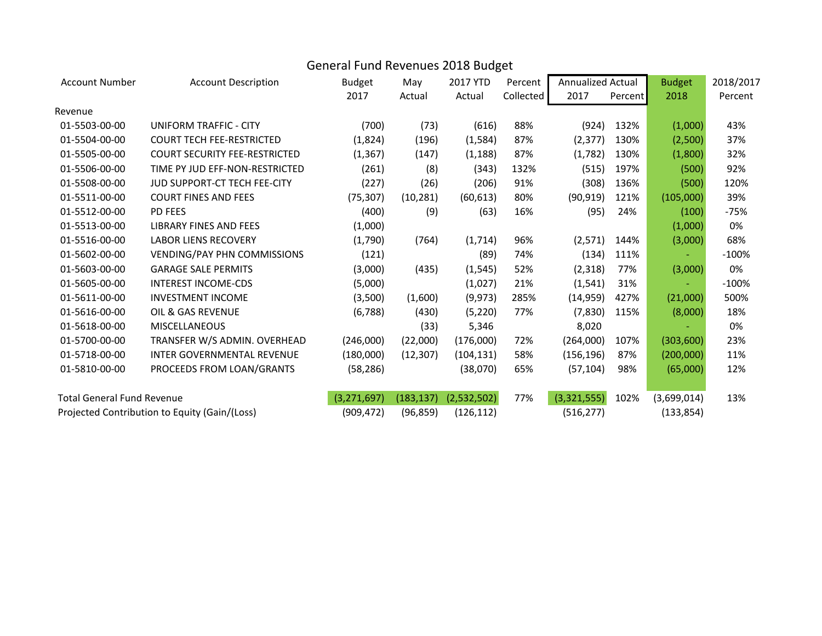### General Fund Revenues 2018 Budget

| <b>Account Number</b>             | <b>Account Description</b>                    | <b>Budget</b> | May        | 2017 YTD    | Percent   | <b>Annualized Actual</b> |         | <b>Budget</b> | 2018/2017 |
|-----------------------------------|-----------------------------------------------|---------------|------------|-------------|-----------|--------------------------|---------|---------------|-----------|
|                                   |                                               | 2017          | Actual     | Actual      | Collected | 2017                     | Percent | 2018          | Percent   |
| Revenue                           |                                               |               |            |             |           |                          |         |               |           |
| 01-5503-00-00                     | UNIFORM TRAFFIC - CITY                        | (700)         | (73)       | (616)       | 88%       | (924)                    | 132%    | (1,000)       | 43%       |
| 01-5504-00-00                     | <b>COURT TECH FEE-RESTRICTED</b>              | (1,824)       | (196)      | (1, 584)    | 87%       | (2, 377)                 | 130%    | (2,500)       | 37%       |
| 01-5505-00-00                     | <b>COURT SECURITY FEE-RESTRICTED</b>          | (1, 367)      | (147)      | (1, 188)    | 87%       | (1,782)                  | 130%    | (1,800)       | 32%       |
| 01-5506-00-00                     | TIME PY JUD EFF-NON-RESTRICTED                | (261)         | (8)        | (343)       | 132%      | (515)                    | 197%    | (500)         | 92%       |
| 01-5508-00-00                     | JUD SUPPORT-CT TECH FEE-CITY                  | (227)         | (26)       | (206)       | 91%       | (308)                    | 136%    | (500)         | 120%      |
| 01-5511-00-00                     | <b>COURT FINES AND FEES</b>                   | (75, 307)     | (10, 281)  | (60, 613)   | 80%       | (90, 919)                | 121%    | (105,000)     | 39%       |
| 01-5512-00-00                     | <b>PD FEES</b>                                | (400)         | (9)        | (63)        | 16%       | (95)                     | 24%     | (100)         | $-75%$    |
| 01-5513-00-00                     | <b>LIBRARY FINES AND FEES</b>                 | (1,000)       |            |             |           |                          |         | (1,000)       | 0%        |
| 01-5516-00-00                     | <b>LABOR LIENS RECOVERY</b>                   | (1,790)       | (764)      | (1,714)     | 96%       | (2,571)                  | 144%    | (3,000)       | 68%       |
| 01-5602-00-00                     | <b>VENDING/PAY PHN COMMISSIONS</b>            | (121)         |            | (89)        | 74%       | (134)                    | 111%    |               | $-100%$   |
| 01-5603-00-00                     | <b>GARAGE SALE PERMITS</b>                    | (3,000)       | (435)      | (1, 545)    | 52%       | (2, 318)                 | 77%     | (3,000)       | 0%        |
| 01-5605-00-00                     | <b>INTEREST INCOME-CDS</b>                    | (5,000)       |            | (1,027)     | 21%       | (1, 541)                 | 31%     |               | $-100%$   |
| 01-5611-00-00                     | <b>INVESTMENT INCOME</b>                      | (3,500)       | (1,600)    | (9, 973)    | 285%      | (14, 959)                | 427%    | (21,000)      | 500%      |
| 01-5616-00-00                     | OIL & GAS REVENUE                             | (6, 788)      | (430)      | (5, 220)    | 77%       | (7,830)                  | 115%    | (8,000)       | 18%       |
| 01-5618-00-00                     | <b>MISCELLANEOUS</b>                          |               | (33)       | 5,346       |           | 8,020                    |         |               | 0%        |
| 01-5700-00-00                     | TRANSFER W/S ADMIN. OVERHEAD                  | (246,000)     | (22,000)   | (176,000)   | 72%       | (264,000)                | 107%    | (303,600)     | 23%       |
| 01-5718-00-00                     | <b>INTER GOVERNMENTAL REVENUE</b>             | (180,000)     | (12, 307)  | (104, 131)  | 58%       | (156, 196)               | 87%     | (200,000)     | 11%       |
| 01-5810-00-00                     | PROCEEDS FROM LOAN/GRANTS                     | (58, 286)     |            | (38,070)    | 65%       | (57, 104)                | 98%     | (65,000)      | 12%       |
|                                   |                                               |               |            |             |           |                          |         |               |           |
| <b>Total General Fund Revenue</b> |                                               | (3, 271, 697) | (183, 137) | (2,532,502) | 77%       | (3,321,555)              | 102%    | (3,699,014)   | 13%       |
|                                   | Projected Contribution to Equity (Gain/(Loss) | (909, 472)    | (96, 859)  | (126, 112)  |           | (516, 277)               |         | (133, 854)    |           |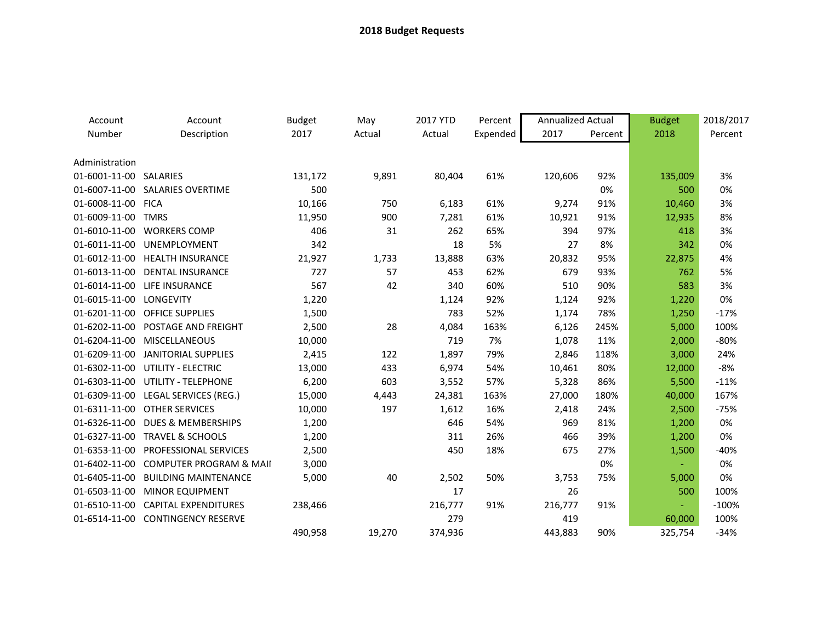| Account                | Account                            | <b>Budget</b> | May    | 2017 YTD | Percent  | <b>Annualized Actual</b> |         | <b>Budget</b> | 2018/2017 |
|------------------------|------------------------------------|---------------|--------|----------|----------|--------------------------|---------|---------------|-----------|
| Number                 | Description                        | 2017          | Actual | Actual   | Expended | 2017                     | Percent | 2018          | Percent   |
|                        |                                    |               |        |          |          |                          |         |               |           |
| Administration         |                                    |               |        |          |          |                          |         |               |           |
| 01-6001-11-00 SALARIES |                                    | 131,172       | 9,891  | 80,404   | 61%      | 120,606                  | 92%     | 135,009       | 3%        |
| 01-6007-11-00          | <b>SALARIES OVERTIME</b>           | 500           |        |          |          |                          | 0%      | 500           | 0%        |
| 01-6008-11-00          | <b>FICA</b>                        | 10,166        | 750    | 6,183    | 61%      | 9,274                    | 91%     | 10,460        | 3%        |
| 01-6009-11-00 TMRS     |                                    | 11,950        | 900    | 7,281    | 61%      | 10,921                   | 91%     | 12,935        | 8%        |
|                        | 01-6010-11-00 WORKERS COMP         | 406           | 31     | 262      | 65%      | 394                      | 97%     | 418           | 3%        |
| 01-6011-11-00          | UNEMPLOYMENT                       | 342           |        | 18       | 5%       | 27                       | 8%      | 342           | 0%        |
| 01-6012-11-00          | <b>HEALTH INSURANCE</b>            | 21,927        | 1,733  | 13,888   | 63%      | 20,832                   | 95%     | 22,875        | 4%        |
| 01-6013-11-00          | <b>DENTAL INSURANCE</b>            | 727           | 57     | 453      | 62%      | 679                      | 93%     | 762           | 5%        |
| 01-6014-11-00          | LIFE INSURANCE                     | 567           | 42     | 340      | 60%      | 510                      | 90%     | 583           | 3%        |
| 01-6015-11-00          | <b>LONGEVITY</b>                   | 1,220         |        | 1,124    | 92%      | 1,124                    | 92%     | 1,220         | 0%        |
| 01-6201-11-00          | <b>OFFICE SUPPLIES</b>             | 1,500         |        | 783      | 52%      | 1,174                    | 78%     | 1,250         | $-17%$    |
| 01-6202-11-00          | POSTAGE AND FREIGHT                | 2,500         | 28     | 4,084    | 163%     | 6,126                    | 245%    | 5,000         | 100%      |
| 01-6204-11-00          | <b>MISCELLANEOUS</b>               | 10,000        |        | 719      | 7%       | 1,078                    | 11%     | 2,000         | $-80%$    |
| 01-6209-11-00          | <b>JANITORIAL SUPPLIES</b>         | 2,415         | 122    | 1,897    | 79%      | 2,846                    | 118%    | 3,000         | 24%       |
| 01-6302-11-00          | <b>UTILITY - ELECTRIC</b>          | 13,000        | 433    | 6,974    | 54%      | 10,461                   | 80%     | 12,000        | $-8%$     |
| 01-6303-11-00          | UTILITY - TELEPHONE                | 6,200         | 603    | 3,552    | 57%      | 5,328                    | 86%     | 5,500         | $-11%$    |
| 01-6309-11-00          | LEGAL SERVICES (REG.)              | 15,000        | 4,443  | 24,381   | 163%     | 27,000                   | 180%    | 40,000        | 167%      |
| 01-6311-11-00          | <b>OTHER SERVICES</b>              | 10,000        | 197    | 1,612    | 16%      | 2,418                    | 24%     | 2,500         | $-75%$    |
| 01-6326-11-00          | <b>DUES &amp; MEMBERSHIPS</b>      | 1,200         |        | 646      | 54%      | 969                      | 81%     | 1,200         | 0%        |
| 01-6327-11-00          | <b>TRAVEL &amp; SCHOOLS</b>        | 1,200         |        | 311      | 26%      | 466                      | 39%     | 1,200         | 0%        |
| 01-6353-11-00          | PROFESSIONAL SERVICES              | 2,500         |        | 450      | 18%      | 675                      | 27%     | 1,500         | $-40%$    |
| 01-6402-11-00          | <b>COMPUTER PROGRAM &amp; MAII</b> | 3,000         |        |          |          |                          | 0%      | $\sim$        | 0%        |
| 01-6405-11-00          | <b>BUILDING MAINTENANCE</b>        | 5,000         | 40     | 2,502    | 50%      | 3,753                    | 75%     | 5,000         | 0%        |
| 01-6503-11-00          | <b>MINOR EQUIPMENT</b>             |               |        | 17       |          | 26                       |         | 500           | 100%      |
| 01-6510-11-00          | <b>CAPITAL EXPENDITURES</b>        | 238,466       |        | 216,777  | 91%      | 216,777                  | 91%     |               | $-100%$   |
| 01-6514-11-00          | <b>CONTINGENCY RESERVE</b>         |               |        | 279      |          | 419                      |         | 60,000        | 100%      |
|                        |                                    | 490,958       | 19,270 | 374,936  |          | 443.883                  | 90%     | 325.754       | $-34%$    |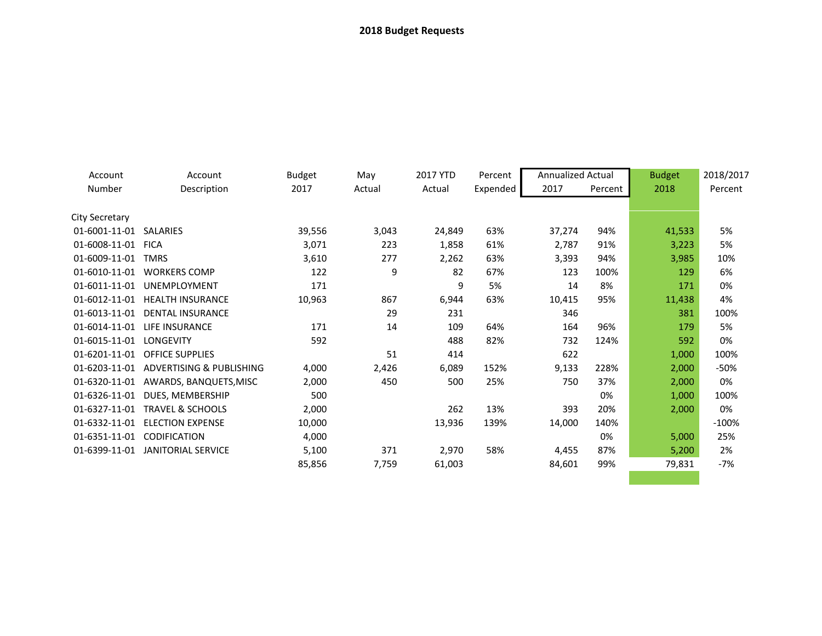| Account                 | Account                                | <b>Budget</b> | May    | 2017 YTD | Percent  | <b>Annualized Actual</b> |         | <b>Budget</b> | 2018/2017 |
|-------------------------|----------------------------------------|---------------|--------|----------|----------|--------------------------|---------|---------------|-----------|
| Number                  | Description                            | 2017          | Actual | Actual   | Expended | 2017                     | Percent | 2018          | Percent   |
| City Secretary          |                                        |               |        |          |          |                          |         |               |           |
| 01-6001-11-01 SALARIES  |                                        | 39,556        | 3,043  | 24,849   | 63%      | 37,274                   | 94%     | 41,533        | 5%        |
| 01-6008-11-01           | <b>FICA</b>                            | 3,071         | 223    | 1,858    | 61%      | 2,787                    | 91%     | 3,223         | 5%        |
| 01-6009-11-01           | <b>TMRS</b>                            | 3,610         | 277    | 2,262    | 63%      | 3,393                    | 94%     | 3,985         | 10%       |
| 01-6010-11-01           | <b>WORKERS COMP</b>                    | 122           | 9      | 82       | 67%      | 123                      | 100%    | 129           | 6%        |
| 01-6011-11-01           | UNEMPLOYMENT                           | 171           |        | 9        | 5%       | 14                       | 8%      | 171           | 0%        |
|                         | 01-6012-11-01 HEALTH INSURANCE         | 10,963        | 867    | 6,944    | 63%      | 10,415                   | 95%     | 11,438        | 4%        |
|                         | 01-6013-11-01 DENTAL INSURANCE         |               | 29     | 231      |          | 346                      |         | 381           | 100%      |
|                         | 01-6014-11-01 LIFE INSURANCE           | 171           | 14     | 109      | 64%      | 164                      | 96%     | 179           | 5%        |
| 01-6015-11-01 LONGEVITY |                                        | 592           |        | 488      | 82%      | 732                      | 124%    | 592           | 0%        |
|                         | 01-6201-11-01 OFFICE SUPPLIES          |               | 51     | 414      |          | 622                      |         | 1,000         | 100%      |
|                         | 01-6203-11-01 ADVERTISING & PUBLISHING | 4,000         | 2,426  | 6,089    | 152%     | 9,133                    | 228%    | 2,000         | $-50%$    |
|                         | 01-6320-11-01 AWARDS, BANQUETS, MISC   | 2,000         | 450    | 500      | 25%      | 750                      | 37%     | 2,000         | 0%        |
| 01-6326-11-01           | DUES, MEMBERSHIP                       | 500           |        |          |          |                          | 0%      | 1,000         | 100%      |
| 01-6327-11-01           | <b>TRAVEL &amp; SCHOOLS</b>            | 2,000         |        | 262      | 13%      | 393                      | 20%     | 2,000         | 0%        |
|                         | 01-6332-11-01 ELECTION EXPENSE         | 10,000        |        | 13,936   | 139%     | 14,000                   | 140%    |               | $-100%$   |
|                         | 01-6351-11-01 CODIFICATION             | 4,000         |        |          |          |                          | 0%      | 5,000         | 25%       |
| 01-6399-11-01           | JANITORIAL SERVICE                     | 5,100         | 371    | 2,970    | 58%      | 4,455                    | 87%     | 5,200         | 2%        |
|                         |                                        | 85,856        | 7,759  | 61,003   |          | 84,601                   | 99%     | 79,831        | -7%       |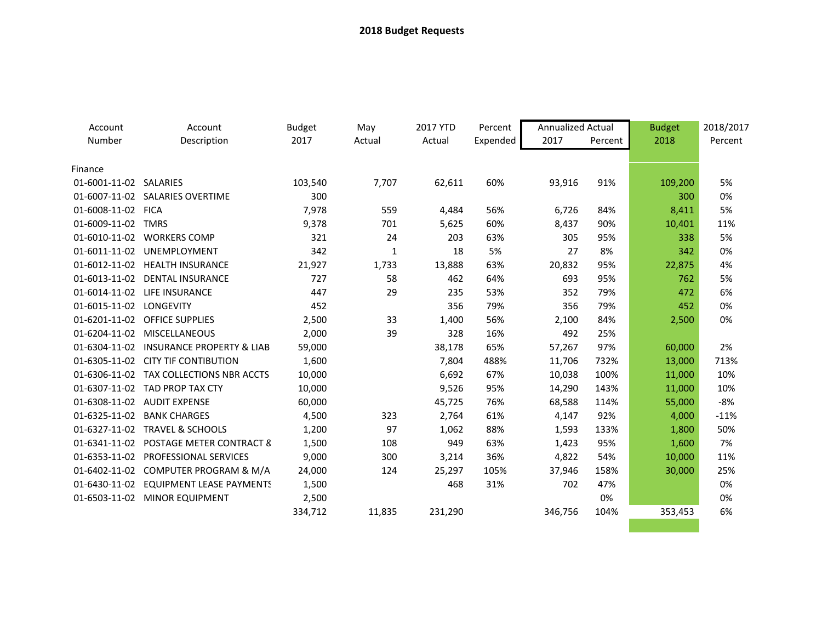| Account                 | Account                                 | <b>Budget</b> | May    | 2017 YTD | Percent  | <b>Annualized Actual</b> |         | <b>Budget</b> | 2018/2017 |
|-------------------------|-----------------------------------------|---------------|--------|----------|----------|--------------------------|---------|---------------|-----------|
| Number                  | Description                             | 2017          | Actual | Actual   | Expended | 2017                     | Percent | 2018          | Percent   |
|                         |                                         |               |        |          |          |                          |         |               |           |
| Finance                 |                                         |               |        |          |          |                          |         |               |           |
| 01-6001-11-02 SALARIES  |                                         | 103,540       | 7,707  | 62,611   | 60%      | 93,916                   | 91%     | 109,200       | 5%        |
|                         | 01-6007-11-02 SALARIES OVERTIME         | 300           |        |          |          |                          |         | 300           | 0%        |
| 01-6008-11-02 FICA      |                                         | 7,978         | 559    | 4,484    | 56%      | 6,726                    | 84%     | 8,411         | 5%        |
| 01-6009-11-02 TMRS      |                                         | 9,378         | 701    | 5,625    | 60%      | 8,437                    | 90%     | 10,401        | 11%       |
|                         | 01-6010-11-02 WORKERS COMP              | 321           | 24     | 203      | 63%      | 305                      | 95%     | 338           | 5%        |
| 01-6011-11-02           | UNEMPLOYMENT                            | 342           | 1      | 18       | 5%       | 27                       | 8%      | 342           | 0%        |
|                         | 01-6012-11-02 HEALTH INSURANCE          | 21,927        | 1,733  | 13,888   | 63%      | 20,832                   | 95%     | 22,875        | 4%        |
|                         | 01-6013-11-02 DENTAL INSURANCE          | 727           | 58     | 462      | 64%      | 693                      | 95%     | 762           | 5%        |
|                         | 01-6014-11-02 LIFE INSURANCE            | 447           | 29     | 235      | 53%      | 352                      | 79%     | 472           | 6%        |
| 01-6015-11-02 LONGEVITY |                                         | 452           |        | 356      | 79%      | 356                      | 79%     | 452           | 0%        |
|                         | 01-6201-11-02 OFFICE SUPPLIES           | 2,500         | 33     | 1,400    | 56%      | 2,100                    | 84%     | 2,500         | 0%        |
|                         | 01-6204-11-02 MISCELLANEOUS             | 2,000         | 39     | 328      | 16%      | 492                      | 25%     |               |           |
|                         | 01-6304-11-02 INSURANCE PROPERTY & LIAB | 59,000        |        | 38,178   | 65%      | 57,267                   | 97%     | 60,000        | 2%        |
|                         | 01-6305-11-02 CITY TIF CONTIBUTION      | 1,600         |        | 7,804    | 488%     | 11,706                   | 732%    | 13,000        | 713%      |
|                         | 01-6306-11-02 TAX COLLECTIONS NBR ACCTS | 10,000        |        | 6,692    | 67%      | 10,038                   | 100%    | 11,000        | 10%       |
|                         | 01-6307-11-02 TAD PROP TAX CTY          | 10,000        |        | 9,526    | 95%      | 14,290                   | 143%    | 11,000        | 10%       |
|                         | 01-6308-11-02 AUDIT EXPENSE             | 60,000        |        | 45,725   | 76%      | 68,588                   | 114%    | 55,000        | $-8%$     |
| 01-6325-11-02           | <b>BANK CHARGES</b>                     | 4,500         | 323    | 2,764    | 61%      | 4,147                    | 92%     | 4,000         | $-11%$    |
|                         | 01-6327-11-02 TRAVEL & SCHOOLS          | 1,200         | 97     | 1,062    | 88%      | 1,593                    | 133%    | 1,800         | 50%       |
|                         | 01-6341-11-02 POSTAGE METER CONTRACT 8  | 1,500         | 108    | 949      | 63%      | 1,423                    | 95%     | 1,600         | 7%        |
|                         | 01-6353-11-02 PROFESSIONAL SERVICES     | 9,000         | 300    | 3,214    | 36%      | 4,822                    | 54%     | 10,000        | 11%       |
|                         | 01-6402-11-02 COMPUTER PROGRAM & M/A    | 24,000        | 124    | 25,297   | 105%     | 37,946                   | 158%    | 30,000        | 25%       |
|                         | 01-6430-11-02 EQUIPMENT LEASE PAYMENTS  | 1,500         |        | 468      | 31%      | 702                      | 47%     |               | 0%        |
|                         | 01-6503-11-02 MINOR EQUIPMENT           | 2,500         |        |          |          |                          | 0%      |               | 0%        |
|                         |                                         | 334,712       | 11,835 | 231,290  |          | 346,756                  | 104%    | 353,453       | 6%        |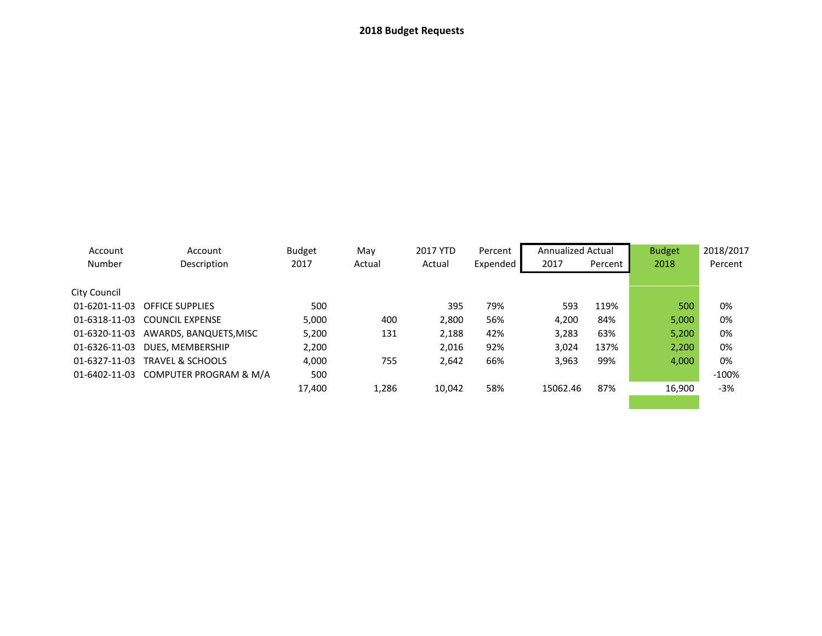| Account<br>Number | Account<br>Description               | <b>Budget</b><br>2017 | May<br>Actual | 2017 YTD<br>Actual | Percent<br>Expended | <b>Annualized Actual</b><br>2017 | Percent | <b>Budget</b><br>2018 | 2018/2017<br>Percent |
|-------------------|--------------------------------------|-----------------------|---------------|--------------------|---------------------|----------------------------------|---------|-----------------------|----------------------|
| City Council      |                                      |                       |               |                    |                     |                                  |         |                       |                      |
| 01-6201-11-03     | <b>OFFICE SUPPLIES</b>               | 500                   |               | 395                | 79%                 | 593                              | 119%    | 500                   | 0%                   |
|                   | 01-6318-11-03 COUNCIL EXPENSE        | 5,000                 | 400           | 2,800              | 56%                 | 4.200                            | 84%     | 5,000                 | 0%                   |
| 01-6320-11-03     | AWARDS, BANQUETS, MISC               | 5,200                 | 131           | 2,188              | 42%                 | 3,283                            | 63%     | 5,200                 | 0%                   |
| 01-6326-11-03     | DUES, MEMBERSHIP                     | 2,200                 |               | 2,016              | 92%                 | 3,024                            | 137%    | 2,200                 | 0%                   |
| 01-6327-11-03     | <b>TRAVEL &amp; SCHOOLS</b>          | 4,000                 | 755           | 2,642              | 66%                 | 3,963                            | 99%     | 4,000                 | 0%                   |
|                   | 01-6402-11-03 COMPUTER PROGRAM & M/A | 500                   |               |                    |                     |                                  |         |                       | $-100%$              |
|                   |                                      | 17,400                | 1.286         | 10.042             | 58%                 | 15062.46                         | 87%     | 16.900                | $-3%$                |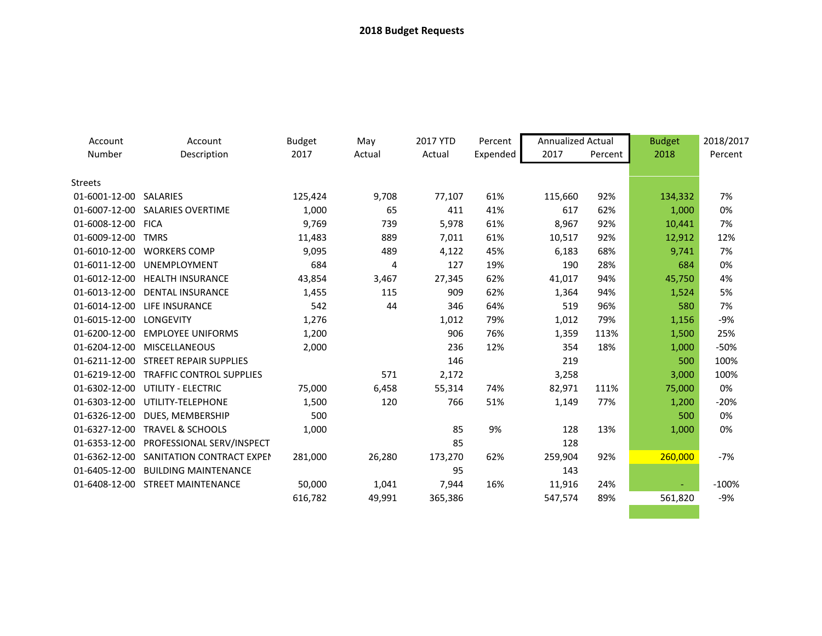| Account                 | Account                          | <b>Budget</b> | May    | 2017 YTD | Percent  | <b>Annualized Actual</b> |         | <b>Budget</b> | 2018/2017 |
|-------------------------|----------------------------------|---------------|--------|----------|----------|--------------------------|---------|---------------|-----------|
| Number                  | Description                      | 2017          | Actual | Actual   | Expended | 2017                     | Percent | 2018          | Percent   |
|                         |                                  |               |        |          |          |                          |         |               |           |
| <b>Streets</b>          |                                  |               |        |          |          |                          |         |               |           |
| 01-6001-12-00 SALARIES  |                                  | 125,424       | 9,708  | 77,107   | 61%      | 115,660                  | 92%     | 134,332       | 7%        |
|                         | 01-6007-12-00 SALARIES OVERTIME  | 1,000         | 65     | 411      | 41%      | 617                      | 62%     | 1,000         | 0%        |
| 01-6008-12-00 FICA      |                                  | 9,769         | 739    | 5,978    | 61%      | 8,967                    | 92%     | 10,441        | 7%        |
| 01-6009-12-00           | <b>TMRS</b>                      | 11,483        | 889    | 7,011    | 61%      | 10,517                   | 92%     | 12,912        | 12%       |
| 01-6010-12-00           | <b>WORKERS COMP</b>              | 9,095         | 489    | 4,122    | 45%      | 6,183                    | 68%     | 9,741         | 7%        |
| 01-6011-12-00           | <b>UNEMPLOYMENT</b>              | 684           | 4      | 127      | 19%      | 190                      | 28%     | 684           | 0%        |
| 01-6012-12-00           | <b>HEALTH INSURANCE</b>          | 43,854        | 3,467  | 27,345   | 62%      | 41,017                   | 94%     | 45,750        | 4%        |
| 01-6013-12-00           | <b>DENTAL INSURANCE</b>          | 1,455         | 115    | 909      | 62%      | 1,364                    | 94%     | 1,524         | 5%        |
| 01-6014-12-00           | <b>LIFE INSURANCE</b>            | 542           | 44     | 346      | 64%      | 519                      | 96%     | 580           | 7%        |
| 01-6015-12-00 LONGEVITY |                                  | 1,276         |        | 1,012    | 79%      | 1,012                    | 79%     | 1,156         | $-9%$     |
| 01-6200-12-00           | <b>EMPLOYEE UNIFORMS</b>         | 1,200         |        | 906      | 76%      | 1,359                    | 113%    | 1,500         | 25%       |
| 01-6204-12-00           | <b>MISCELLANEOUS</b>             | 2,000         |        | 236      | 12%      | 354                      | 18%     | 1,000         | $-50%$    |
| 01-6211-12-00           | <b>STREET REPAIR SUPPLIES</b>    |               |        | 146      |          | 219                      |         | 500           | 100%      |
| 01-6219-12-00           | <b>TRAFFIC CONTROL SUPPLIES</b>  |               | 571    | 2,172    |          | 3,258                    |         | 3,000         | 100%      |
| 01-6302-12-00           | <b>UTILITY - ELECTRIC</b>        | 75,000        | 6,458  | 55,314   | 74%      | 82,971                   | 111%    | 75,000        | 0%        |
| 01-6303-12-00           | UTILITY-TELEPHONE                | 1,500         | 120    | 766      | 51%      | 1,149                    | 77%     | 1,200         | $-20%$    |
| 01-6326-12-00           | DUES, MEMBERSHIP                 | 500           |        |          |          |                          |         | 500           | 0%        |
| 01-6327-12-00           | <b>TRAVEL &amp; SCHOOLS</b>      | 1,000         |        | 85       | 9%       | 128                      | 13%     | 1,000         | 0%        |
| 01-6353-12-00           | PROFESSIONAL SERV/INSPECT        |               |        | 85       |          | 128                      |         |               |           |
| 01-6362-12-00           | SANITATION CONTRACT EXPEN        | 281,000       | 26,280 | 173,270  | 62%      | 259,904                  | 92%     | 260,000       | $-7%$     |
| 01-6405-12-00           | <b>BUILDING MAINTENANCE</b>      |               |        | 95       |          | 143                      |         |               |           |
|                         | 01-6408-12-00 STREET MAINTENANCE | 50,000        | 1,041  | 7,944    | 16%      | 11,916                   | 24%     | ÷             | $-100%$   |
|                         |                                  | 616,782       | 49,991 | 365,386  |          | 547,574                  | 89%     | 561,820       | $-9%$     |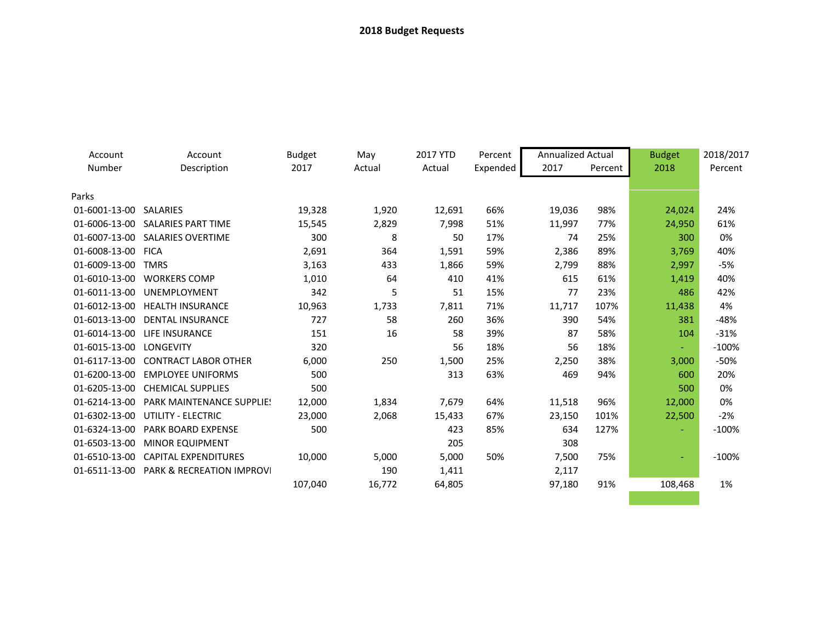| Account            | Account                              | <b>Budget</b> | May    | 2017 YTD | Percent  | <b>Annualized Actual</b> |         | <b>Budget</b> | 2018/2017 |
|--------------------|--------------------------------------|---------------|--------|----------|----------|--------------------------|---------|---------------|-----------|
| Number             | Description                          | 2017          | Actual | Actual   | Expended | 2017                     | Percent | 2018          | Percent   |
| Parks              |                                      |               |        |          |          |                          |         |               |           |
| 01-6001-13-00      | SALARIES                             | 19,328        | 1,920  | 12,691   | 66%      | 19,036                   | 98%     | 24,024        | 24%       |
|                    | 01-6006-13-00 SALARIES PART TIME     | 15,545        | 2,829  | 7,998    | 51%      | 11,997                   | 77%     | 24,950        | 61%       |
|                    | 01-6007-13-00 SALARIES OVERTIME      | 300           | 8      | 50       | 17%      | 74                       | 25%     | 300           | 0%        |
| 01-6008-13-00 FICA |                                      | 2,691         | 364    | 1,591    | 59%      | 2,386                    | 89%     | 3,769         | 40%       |
| 01-6009-13-00      | <b>TMRS</b>                          | 3,163         | 433    | 1,866    | 59%      | 2,799                    | 88%     | 2,997         | $-5%$     |
| 01-6010-13-00      | <b>WORKERS COMP</b>                  | 1,010         | 64     | 410      | 41%      | 615                      | 61%     | 1,419         | 40%       |
| 01-6011-13-00      | UNEMPLOYMENT                         | 342           | 5      | 51       | 15%      | 77                       | 23%     | 486           | 42%       |
|                    | 01-6012-13-00 HEALTH INSURANCE       | 10,963        | 1,733  | 7,811    | 71%      | 11,717                   | 107%    | 11,438        | 4%        |
| 01-6013-13-00      | <b>DENTAL INSURANCE</b>              | 727           | 58     | 260      | 36%      | 390                      | 54%     | 381           | $-48%$    |
| 01-6014-13-00      | LIFE INSURANCE                       | 151           | 16     | 58       | 39%      | 87                       | 58%     | 104           | $-31%$    |
| 01-6015-13-00      | LONGEVITY                            | 320           |        | 56       | 18%      | 56                       | 18%     | $\sim$        | $-100%$   |
|                    | 01-6117-13-00 CONTRACT LABOR OTHER   | 6,000         | 250    | 1,500    | 25%      | 2,250                    | 38%     | 3,000         | $-50%$    |
| 01-6200-13-00      | <b>EMPLOYEE UNIFORMS</b>             | 500           |        | 313      | 63%      | 469                      | 94%     | 600           | 20%       |
| 01-6205-13-00      | <b>CHEMICAL SUPPLIES</b>             | 500           |        |          |          |                          |         | 500           | 0%        |
| 01-6214-13-00      | <b>PARK MAINTENANCE SUPPLIE!</b>     | 12,000        | 1,834  | 7,679    | 64%      | 11,518                   | 96%     | 12,000        | 0%        |
| 01-6302-13-00      | UTILITY - ELECTRIC                   | 23,000        | 2,068  | 15,433   | 67%      | 23,150                   | 101%    | 22,500        | $-2%$     |
| 01-6324-13-00      | <b>PARK BOARD EXPENSE</b>            | 500           |        | 423      | 85%      | 634                      | 127%    |               | $-100%$   |
| 01-6503-13-00      | <b>MINOR EQUIPMENT</b>               |               |        | 205      |          | 308                      |         |               |           |
| 01-6510-13-00      | <b>CAPITAL EXPENDITURES</b>          | 10,000        | 5,000  | 5,000    | 50%      | 7,500                    | 75%     |               | $-100%$   |
| 01-6511-13-00      | <b>PARK &amp; RECREATION IMPROVI</b> |               | 190    | 1,411    |          | 2,117                    |         |               |           |
|                    |                                      | 107,040       | 16,772 | 64,805   |          | 97,180                   | 91%     | 108,468       | 1%        |
|                    |                                      |               |        |          |          |                          |         |               |           |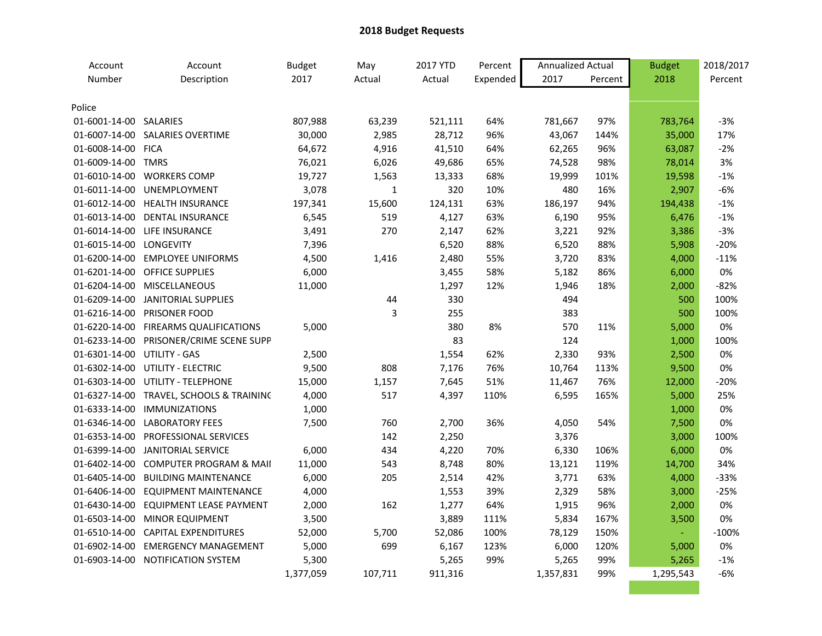| Account                     | Account                                  | <b>Budget</b> | May            | 2017 YTD | Percent  | Annualized Actual |         | <b>Budget</b> | 2018/2017 |
|-----------------------------|------------------------------------------|---------------|----------------|----------|----------|-------------------|---------|---------------|-----------|
| Number                      | Description                              | 2017          | Actual         | Actual   | Expended | 2017              | Percent | 2018          | Percent   |
|                             |                                          |               |                |          |          |                   |         |               |           |
| Police                      |                                          |               |                |          |          |                   |         |               |           |
| 01-6001-14-00 SALARIES      |                                          | 807,988       | 63,239         | 521,111  | 64%      | 781,667           | 97%     | 783,764       | $-3%$     |
|                             | 01-6007-14-00 SALARIES OVERTIME          | 30,000        | 2,985          | 28,712   | 96%      | 43,067            | 144%    | 35,000        | 17%       |
| 01-6008-14-00 FICA          |                                          | 64,672        | 4,916          | 41,510   | 64%      | 62,265            | 96%     | 63,087        | $-2%$     |
| 01-6009-14-00 TMRS          |                                          | 76,021        | 6,026          | 49,686   | 65%      | 74,528            | 98%     | 78,014        | 3%        |
|                             | 01-6010-14-00 WORKERS COMP               | 19,727        | 1,563          | 13,333   | 68%      | 19,999            | 101%    | 19,598        | $-1%$     |
|                             | 01-6011-14-00 UNEMPLOYMENT               | 3,078         | $\mathbf 1$    | 320      | 10%      | 480               | 16%     | 2,907         | $-6%$     |
|                             | 01-6012-14-00 HEALTH INSURANCE           | 197,341       | 15,600         | 124,131  | 63%      | 186,197           | 94%     | 194,438       | $-1%$     |
|                             | 01-6013-14-00 DENTAL INSURANCE           | 6,545         | 519            | 4,127    | 63%      | 6,190             | 95%     | 6,476         | $-1%$     |
|                             | 01-6014-14-00 LIFE INSURANCE             | 3,491         | 270            | 2,147    | 62%      | 3,221             | 92%     | 3,386         | $-3%$     |
| 01-6015-14-00 LONGEVITY     |                                          | 7,396         |                | 6,520    | 88%      | 6,520             | 88%     | 5,908         | $-20%$    |
|                             | 01-6200-14-00 EMPLOYEE UNIFORMS          | 4,500         | 1,416          | 2,480    | 55%      | 3,720             | 83%     | 4,000         | $-11%$    |
|                             | 01-6201-14-00 OFFICE SUPPLIES            | 6,000         |                | 3,455    | 58%      | 5,182             | 86%     | 6,000         | 0%        |
|                             | 01-6204-14-00 MISCELLANEOUS              | 11,000        |                | 1,297    | 12%      | 1,946             | 18%     | 2,000         | $-82%$    |
|                             | 01-6209-14-00 JANITORIAL SUPPLIES        |               | 44             | 330      |          | 494               |         | 500           | 100%      |
|                             | 01-6216-14-00 PRISONER FOOD              |               | $\overline{3}$ | 255      |          | 383               |         | 500           | 100%      |
|                             | 01-6220-14-00 FIREARMS QUALIFICATIONS    | 5,000         |                | 380      | 8%       | 570               | 11%     | 5,000         | 0%        |
|                             | 01-6233-14-00 PRISONER/CRIME SCENE SUPP  |               |                | 83       |          | 124               |         | 1,000         | 100%      |
| 01-6301-14-00 UTILITY - GAS |                                          | 2,500         |                | 1,554    | 62%      | 2,330             | 93%     | 2,500         | 0%        |
|                             | 01-6302-14-00 UTILITY - ELECTRIC         | 9,500         | 808            | 7,176    | 76%      | 10,764            | 113%    | 9,500         | 0%        |
|                             | 01-6303-14-00 UTILITY - TELEPHONE        | 15,000        | 1,157          | 7,645    | 51%      | 11,467            | 76%     | 12,000        | $-20%$    |
|                             | 01-6327-14-00 TRAVEL, SCHOOLS & TRAINING | 4,000         | 517            | 4,397    | 110%     | 6,595             | 165%    | 5,000         | 25%       |
|                             | 01-6333-14-00 IMMUNIZATIONS              | 1,000         |                |          |          |                   |         | 1,000         | 0%        |
|                             | 01-6346-14-00 LABORATORY FEES            | 7,500         | 760            | 2,700    | 36%      | 4,050             | 54%     | 7,500         | 0%        |
| 01-6353-14-00               | PROFESSIONAL SERVICES                    |               | 142            | 2,250    |          | 3,376             |         | 3,000         | 100%      |
|                             | 01-6399-14-00 JANITORIAL SERVICE         | 6,000         | 434            | 4,220    | 70%      | 6,330             | 106%    | 6,000         | 0%        |
|                             | 01-6402-14-00 COMPUTER PROGRAM & MAII    | 11,000        | 543            | 8,748    | 80%      | 13,121            | 119%    | 14,700        | 34%       |
|                             | 01-6405-14-00 BUILDING MAINTENANCE       | 6,000         | 205            | 2,514    | 42%      | 3,771             | 63%     | 4,000         | $-33%$    |
|                             | 01-6406-14-00 EQUIPMENT MAINTENANCE      | 4,000         |                | 1,553    | 39%      | 2,329             | 58%     | 3,000         | $-25%$    |
|                             | 01-6430-14-00 EQUIPMENT LEASE PAYMENT    | 2,000         | 162            | 1,277    | 64%      | 1,915             | 96%     | 2,000         | 0%        |
|                             | 01-6503-14-00 MINOR EQUIPMENT            | 3,500         |                | 3,889    | 111%     | 5,834             | 167%    | 3,500         | 0%        |
|                             | 01-6510-14-00 CAPITAL EXPENDITURES       | 52,000        | 5,700          | 52,086   | 100%     | 78,129            | 150%    |               | $-100%$   |
|                             | 01-6902-14-00 EMERGENCY MANAGEMENT       | 5,000         | 699            | 6,167    | 123%     | 6,000             | 120%    | 5,000         | 0%        |
|                             | 01-6903-14-00 NOTIFICATION SYSTEM        | 5,300         |                | 5,265    | 99%      | 5,265             | 99%     | 5,265         | $-1%$     |
|                             |                                          | 1,377,059     | 107,711        | 911,316  |          | 1,357,831         | 99%     | 1,295,543     | $-6%$     |
|                             |                                          |               |                |          |          |                   |         |               |           |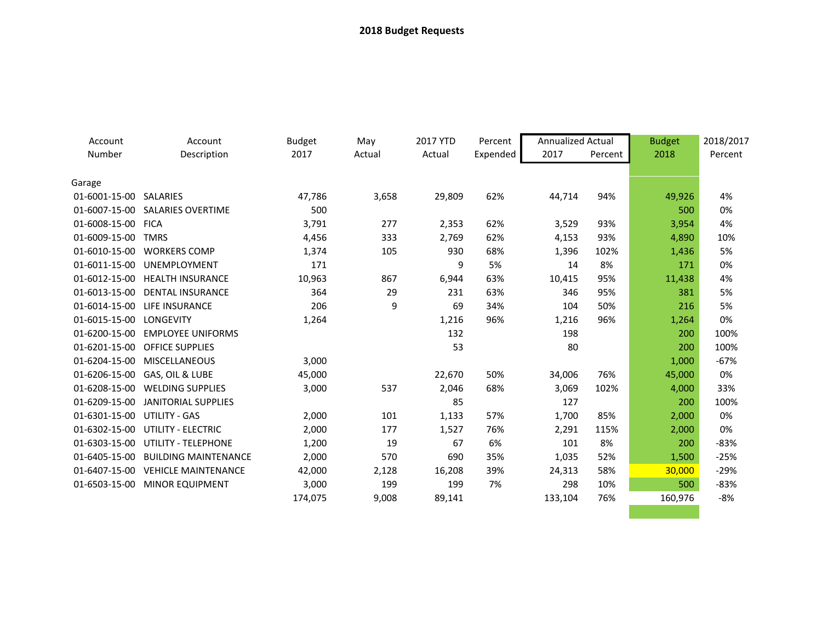| Account       | Account                           | <b>Budget</b> | May    | 2017 YTD | Percent  | <b>Annualized Actual</b> |         | <b>Budget</b> | 2018/2017 |
|---------------|-----------------------------------|---------------|--------|----------|----------|--------------------------|---------|---------------|-----------|
| Number        | Description                       | 2017          | Actual | Actual   | Expended | 2017                     | Percent | 2018          | Percent   |
|               |                                   |               |        |          |          |                          |         |               |           |
| Garage        |                                   |               |        |          |          |                          |         |               |           |
| 01-6001-15-00 | SALARIES                          | 47,786        | 3,658  | 29,809   | 62%      | 44,714                   | 94%     | 49,926        | 4%        |
|               | 01-6007-15-00 SALARIES OVERTIME   | 500           |        |          |          |                          |         | 500           | 0%        |
| 01-6008-15-00 | <b>FICA</b>                       | 3,791         | 277    | 2,353    | 62%      | 3,529                    | 93%     | 3,954         | 4%        |
| 01-6009-15-00 | <b>TMRS</b>                       | 4,456         | 333    | 2,769    | 62%      | 4,153                    | 93%     | 4,890         | 10%       |
| 01-6010-15-00 | <b>WORKERS COMP</b>               | 1,374         | 105    | 930      | 68%      | 1,396                    | 102%    | 1,436         | 5%        |
| 01-6011-15-00 | UNEMPLOYMENT                      | 171           |        | 9        | 5%       | 14                       | 8%      | 171           | 0%        |
| 01-6012-15-00 | <b>HEALTH INSURANCE</b>           | 10,963        | 867    | 6,944    | 63%      | 10,415                   | 95%     | 11,438        | 4%        |
| 01-6013-15-00 | <b>DENTAL INSURANCE</b>           | 364           | 29     | 231      | 63%      | 346                      | 95%     | 381           | 5%        |
| 01-6014-15-00 | <b>LIFE INSURANCE</b>             | 206           | 9      | 69       | 34%      | 104                      | 50%     | 216           | 5%        |
| 01-6015-15-00 | LONGEVITY                         | 1,264         |        | 1,216    | 96%      | 1,216                    | 96%     | 1,264         | 0%        |
| 01-6200-15-00 | <b>EMPLOYEE UNIFORMS</b>          |               |        | 132      |          | 198                      |         | 200           | 100%      |
|               | 01-6201-15-00 OFFICE SUPPLIES     |               |        | 53       |          | 80                       |         | 200           | 100%      |
| 01-6204-15-00 | MISCELLANEOUS                     | 3,000         |        |          |          |                          |         | 1,000         | $-67%$    |
|               | 01-6206-15-00 GAS, OIL & LUBE     | 45,000        |        | 22,670   | 50%      | 34,006                   | 76%     | 45,000        | 0%        |
| 01-6208-15-00 | <b>WELDING SUPPLIES</b>           | 3,000         | 537    | 2,046    | 68%      | 3,069                    | 102%    | 4,000         | 33%       |
| 01-6209-15-00 | <b>JANITORIAL SUPPLIES</b>        |               |        | 85       |          | 127                      |         | 200           | 100%      |
| 01-6301-15-00 | UTILITY - GAS                     | 2,000         | 101    | 1,133    | 57%      | 1,700                    | 85%     | 2,000         | 0%        |
| 01-6302-15-00 | <b>UTILITY - ELECTRIC</b>         | 2,000         | 177    | 1,527    | 76%      | 2,291                    | 115%    | 2,000         | 0%        |
| 01-6303-15-00 | <b>UTILITY - TELEPHONE</b>        | 1,200         | 19     | 67       | 6%       | 101                      | 8%      | 200           | $-83%$    |
| 01-6405-15-00 | <b>BUILDING MAINTENANCE</b>       | 2,000         | 570    | 690      | 35%      | 1,035                    | 52%     | 1,500         | $-25%$    |
|               | 01-6407-15-00 VEHICLE MAINTENANCE | 42,000        | 2,128  | 16,208   | 39%      | 24,313                   | 58%     | 30,000        | $-29%$    |
| 01-6503-15-00 | <b>MINOR EQUIPMENT</b>            | 3,000         | 199    | 199      | 7%       | 298                      | 10%     | 500           | $-83%$    |
|               |                                   | 174,075       | 9,008  | 89,141   |          | 133,104                  | 76%     | 160,976       | $-8%$     |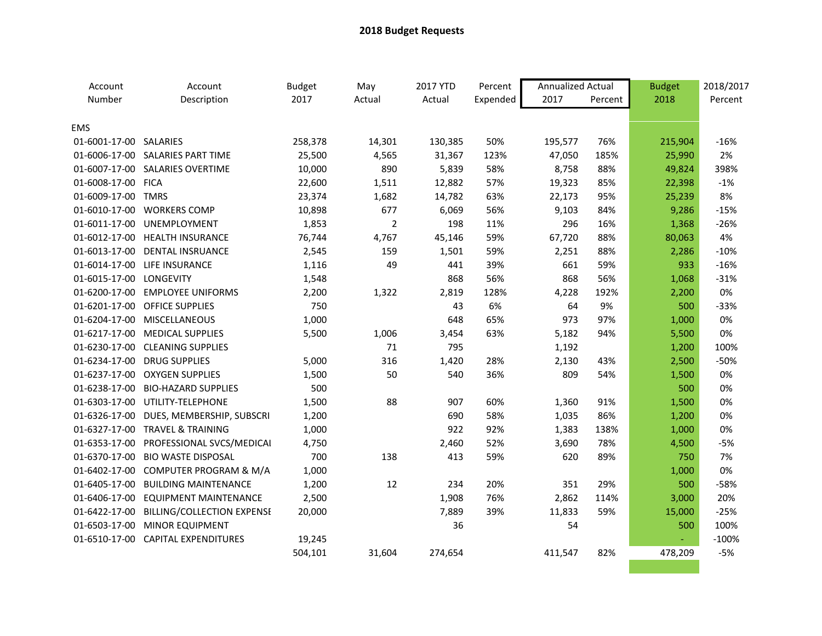| Account                 | Account                                 | <b>Budget</b> | May            | 2017 YTD | Percent  | <b>Annualized Actual</b> |         | <b>Budget</b> | 2018/2017 |
|-------------------------|-----------------------------------------|---------------|----------------|----------|----------|--------------------------|---------|---------------|-----------|
| Number                  | Description                             | 2017          | Actual         | Actual   | Expended | 2017                     | Percent | 2018          | Percent   |
|                         |                                         |               |                |          |          |                          |         |               |           |
| <b>EMS</b>              |                                         |               |                |          |          |                          |         |               |           |
| 01-6001-17-00 SALARIES  |                                         | 258,378       | 14,301         | 130,385  | 50%      | 195,577                  | 76%     | 215,904       | $-16%$    |
|                         | 01-6006-17-00 SALARIES PART TIME        | 25,500        | 4,565          | 31,367   | 123%     | 47,050                   | 185%    | 25,990        | 2%        |
|                         | 01-6007-17-00 SALARIES OVERTIME         | 10,000        | 890            | 5,839    | 58%      | 8,758                    | 88%     | 49,824        | 398%      |
| 01-6008-17-00 FICA      |                                         | 22,600        | 1,511          | 12,882   | 57%      | 19,323                   | 85%     | 22,398        | $-1%$     |
| 01-6009-17-00 TMRS      |                                         | 23,374        | 1,682          | 14,782   | 63%      | 22,173                   | 95%     | 25,239        | 8%        |
|                         | 01-6010-17-00 WORKERS COMP              | 10,898        | 677            | 6,069    | 56%      | 9,103                    | 84%     | 9,286         | $-15%$    |
|                         | 01-6011-17-00 UNEMPLOYMENT              | 1,853         | $\overline{2}$ | 198      | 11%      | 296                      | 16%     | 1,368         | $-26%$    |
|                         | 01-6012-17-00 HEALTH INSURANCE          | 76,744        | 4,767          | 45,146   | 59%      | 67,720                   | 88%     | 80,063        | 4%        |
|                         | 01-6013-17-00 DENTAL INSRUANCE          | 2,545         | 159            | 1,501    | 59%      | 2,251                    | 88%     | 2,286         | $-10%$    |
|                         | 01-6014-17-00 LIFE INSURANCE            | 1,116         | 49             | 441      | 39%      | 661                      | 59%     | 933           | $-16%$    |
| 01-6015-17-00 LONGEVITY |                                         | 1,548         |                | 868      | 56%      | 868                      | 56%     | 1,068         | $-31%$    |
|                         | 01-6200-17-00 EMPLOYEE UNIFORMS         | 2,200         | 1,322          | 2,819    | 128%     | 4,228                    | 192%    | 2,200         | 0%        |
|                         | 01-6201-17-00 OFFICE SUPPLIES           | 750           |                | 43       | 6%       | 64                       | 9%      | 500           | $-33%$    |
|                         | 01-6204-17-00 MISCELLANEOUS             | 1,000         |                | 648      | 65%      | 973                      | 97%     | 1,000         | 0%        |
|                         | 01-6217-17-00 MEDICAL SUPPLIES          | 5,500         | 1,006          | 3,454    | 63%      | 5,182                    | 94%     | 5,500         | 0%        |
|                         | 01-6230-17-00 CLEANING SUPPLIES         |               | 71             | 795      |          | 1,192                    |         | 1,200         | 100%      |
|                         | 01-6234-17-00 DRUG SUPPLIES             | 5,000         | 316            | 1,420    | 28%      | 2,130                    | 43%     | 2,500         | $-50%$    |
|                         | 01-6237-17-00 OXYGEN SUPPLIES           | 1,500         | 50             | 540      | 36%      | 809                      | 54%     | 1,500         | 0%        |
| 01-6238-17-00           | <b>BIO-HAZARD SUPPLIES</b>              | 500           |                |          |          |                          |         | 500           | 0%        |
|                         | 01-6303-17-00 UTILITY-TELEPHONE         | 1,500         | 88             | 907      | 60%      | 1,360                    | 91%     | 1,500         | 0%        |
|                         | 01-6326-17-00 DUES, MEMBERSHIP, SUBSCRI | 1,200         |                | 690      | 58%      | 1,035                    | 86%     | 1,200         | 0%        |
|                         | 01-6327-17-00 TRAVEL & TRAINING         | 1,000         |                | 922      | 92%      | 1,383                    | 138%    | 1,000         | 0%        |
|                         | 01-6353-17-00 PROFESSIONAL SVCS/MEDICAI | 4,750         |                | 2,460    | 52%      | 3,690                    | 78%     | 4,500         | $-5%$     |
|                         | 01-6370-17-00 BIO WASTE DISPOSAL        | 700           | 138            | 413      | 59%      | 620                      | 89%     | 750           | 7%        |
|                         | 01-6402-17-00 COMPUTER PROGRAM & M/A    | 1,000         |                |          |          |                          |         | 1,000         | 0%        |
|                         | 01-6405-17-00 BUILDING MAINTENANCE      | 1,200         | 12             | 234      | 20%      | 351                      | 29%     | 500           | $-58%$    |
|                         | 01-6406-17-00 EQUIPMENT MAINTENANCE     | 2,500         |                | 1,908    | 76%      | 2,862                    | 114%    | 3,000         | 20%       |
| 01-6422-17-00           | BILLING/COLLECTION EXPENSE              | 20,000        |                | 7,889    | 39%      | 11,833                   | 59%     | 15,000        | $-25%$    |
|                         | 01-6503-17-00 MINOR EQUIPMENT           |               |                | 36       |          | 54                       |         | 500           | 100%      |
|                         | 01-6510-17-00 CAPITAL EXPENDITURES      | 19,245        |                |          |          |                          |         | $\omega$      | $-100%$   |
|                         |                                         | 504,101       | 31,604         | 274,654  |          | 411,547                  | 82%     | 478,209       | $-5%$     |
|                         |                                         |               |                |          |          |                          |         |               |           |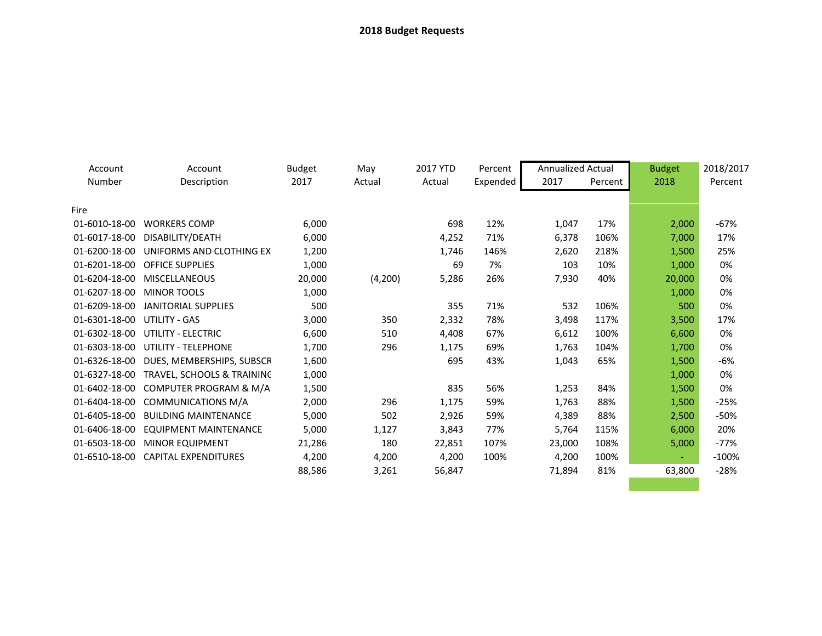| Account       | Account                      | <b>Budget</b> | May     | 2017 YTD | Percent  | <b>Annualized Actual</b> |         | <b>Budget</b> | 2018/2017 |
|---------------|------------------------------|---------------|---------|----------|----------|--------------------------|---------|---------------|-----------|
| Number        | Description                  | 2017          | Actual  | Actual   | Expended | 2017                     | Percent | 2018          | Percent   |
|               |                              |               |         |          |          |                          |         |               |           |
| Fire          |                              |               |         |          |          |                          |         |               |           |
| 01-6010-18-00 | <b>WORKERS COMP</b>          | 6,000         |         | 698      | 12%      | 1,047                    | 17%     | 2,000         | $-67%$    |
| 01-6017-18-00 | DISABILITY/DEATH             | 6,000         |         | 4,252    | 71%      | 6,378                    | 106%    | 7,000         | 17%       |
| 01-6200-18-00 | UNIFORMS AND CLOTHING EX     | 1,200         |         | 1,746    | 146%     | 2,620                    | 218%    | 1,500         | 25%       |
| 01-6201-18-00 | <b>OFFICE SUPPLIES</b>       | 1,000         |         | 69       | 7%       | 103                      | 10%     | 1,000         | 0%        |
| 01-6204-18-00 | <b>MISCELLANEOUS</b>         | 20,000        | (4,200) | 5,286    | 26%      | 7,930                    | 40%     | 20,000        | 0%        |
| 01-6207-18-00 | <b>MINOR TOOLS</b>           | 1,000         |         |          |          |                          |         | 1,000         | 0%        |
| 01-6209-18-00 | <b>JANITORIAL SUPPLIES</b>   | 500           |         | 355      | 71%      | 532                      | 106%    | 500           | 0%        |
| 01-6301-18-00 | UTILITY - GAS                | 3,000         | 350     | 2,332    | 78%      | 3,498                    | 117%    | 3,500         | 17%       |
| 01-6302-18-00 | UTILITY - ELECTRIC           | 6,600         | 510     | 4,408    | 67%      | 6,612                    | 100%    | 6,600         | 0%        |
| 01-6303-18-00 | UTILITY - TELEPHONE          | 1,700         | 296     | 1,175    | 69%      | 1,763                    | 104%    | 1,700         | 0%        |
| 01-6326-18-00 | DUES, MEMBERSHIPS, SUBSCF    | 1,600         |         | 695      | 43%      | 1,043                    | 65%     | 1,500         | -6%       |
| 01-6327-18-00 | TRAVEL, SCHOOLS & TRAINING   | 1,000         |         |          |          |                          |         | 1,000         | 0%        |
| 01-6402-18-00 | COMPUTER PROGRAM & M/A       | 1,500         |         | 835      | 56%      | 1,253                    | 84%     | 1,500         | 0%        |
| 01-6404-18-00 | COMMUNICATIONS M/A           | 2,000         | 296     | 1,175    | 59%      | 1,763                    | 88%     | 1,500         | $-25%$    |
| 01-6405-18-00 | <b>BUILDING MAINTENANCE</b>  | 5,000         | 502     | 2,926    | 59%      | 4,389                    | 88%     | 2,500         | -50%      |
| 01-6406-18-00 | <b>EQUIPMENT MAINTENANCE</b> | 5,000         | 1,127   | 3,843    | 77%      | 5,764                    | 115%    | 6,000         | 20%       |
| 01-6503-18-00 | <b>MINOR EQUIPMENT</b>       | 21,286        | 180     | 22,851   | 107%     | 23,000                   | 108%    | 5,000         | $-77%$    |
| 01-6510-18-00 | <b>CAPITAL EXPENDITURES</b>  | 4,200         | 4,200   | 4,200    | 100%     | 4,200                    | 100%    | ÷             | $-100%$   |
|               |                              | 88,586        | 3,261   | 56,847   |          | 71,894                   | 81%     | 63,800        | $-28%$    |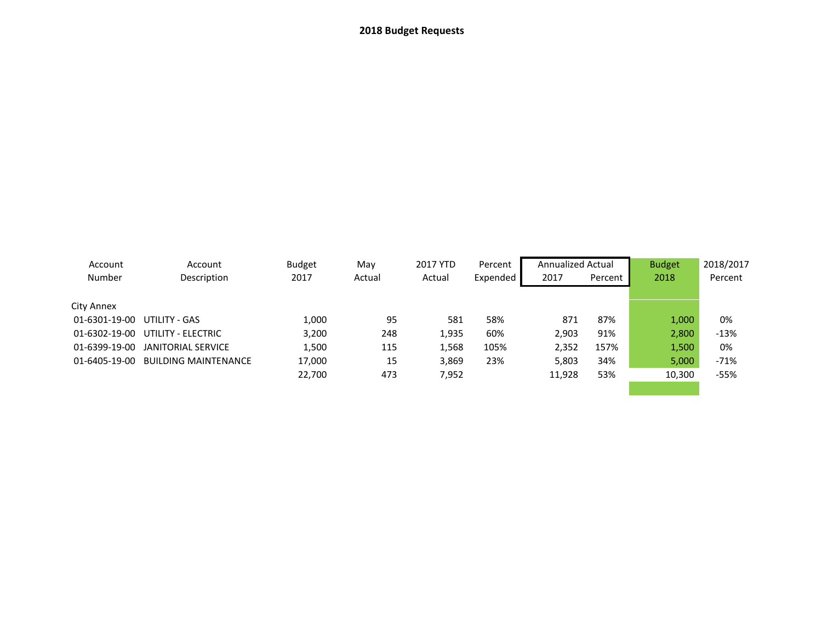| Account<br>Number | Account<br>Description      | <b>Budget</b><br>2017 | May<br>Actual | 2017 YTD<br>Actual | Percent<br>Expended | <b>Annualized Actual</b><br>2017 | Percent | <b>Budget</b><br>2018 | 2018/2017<br>Percent |
|-------------------|-----------------------------|-----------------------|---------------|--------------------|---------------------|----------------------------------|---------|-----------------------|----------------------|
| City Annex        |                             |                       |               |                    |                     |                                  |         |                       |                      |
| 01-6301-19-00     | UTILITY - GAS               | 1,000                 | 95            | 581                | 58%                 | 871                              | 87%     | 1,000                 | 0%                   |
| 01-6302-19-00     | UTILITY - ELECTRIC          | 3,200                 | 248           | 1,935              | 60%                 | 2,903                            | 91%     | 2,800                 | $-13%$               |
| 01-6399-19-00     | JANITORIAL SERVICE          | 1,500                 | 115           | 1,568              | 105%                | 2,352                            | 157%    | 1,500                 | 0%                   |
| 01-6405-19-00     | <b>BUILDING MAINTENANCE</b> | 17,000                | 15            | 3,869              | 23%                 | 5,803                            | 34%     | 5,000                 | $-71%$               |
|                   |                             | 22,700                | 473           | 7,952              |                     | 11,928                           | 53%     | 10,300                | $-55%$               |
|                   |                             |                       |               |                    |                     |                                  |         |                       |                      |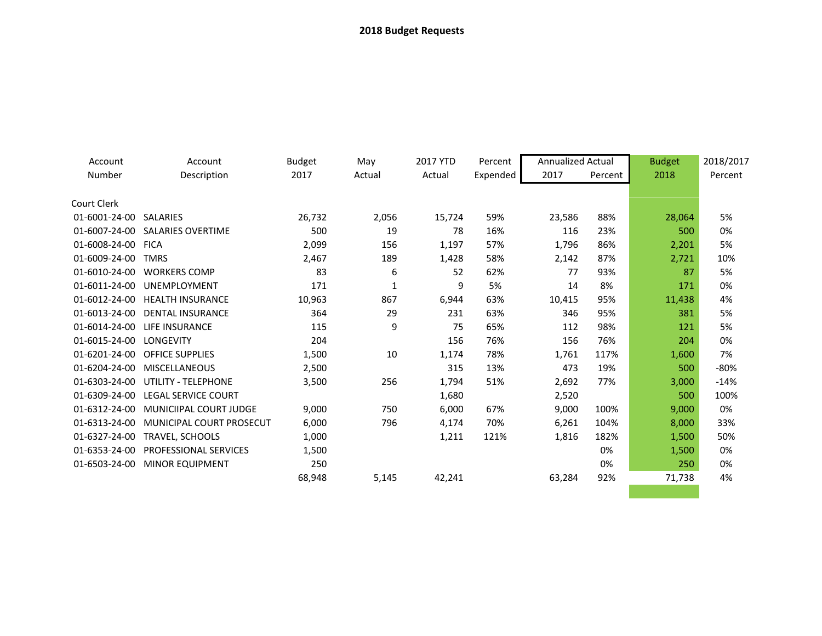| Account       | Account                         | <b>Budget</b> | May    | 2017 YTD | Percent  | <b>Annualized Actual</b> |         | <b>Budget</b> | 2018/2017 |
|---------------|---------------------------------|---------------|--------|----------|----------|--------------------------|---------|---------------|-----------|
| Number        | Description                     | 2017          | Actual | Actual   | Expended | 2017                     | Percent | 2018          | Percent   |
| Court Clerk   |                                 |               |        |          |          |                          |         |               |           |
| 01-6001-24-00 | <b>SALARIES</b>                 | 26,732        | 2,056  | 15,724   | 59%      | 23,586                   | 88%     | 28,064        | 5%        |
| 01-6007-24-00 | <b>SALARIES OVERTIME</b>        | 500           | 19     | 78       | 16%      | 116                      | 23%     | 500           | 0%        |
| 01-6008-24-00 | <b>FICA</b>                     | 2,099         | 156    | 1,197    | 57%      | 1,796                    | 86%     | 2,201         | 5%        |
| 01-6009-24-00 | <b>TMRS</b>                     | 2,467         | 189    | 1,428    | 58%      | 2,142                    | 87%     | 2,721         | 10%       |
| 01-6010-24-00 | <b>WORKERS COMP</b>             | 83            | 6      | 52       | 62%      | 77                       | 93%     | 87            | 5%        |
| 01-6011-24-00 | UNEMPLOYMENT                    | 171           | 1      | 9        | 5%       | 14                       | 8%      | 171           | 0%        |
| 01-6012-24-00 | <b>HEALTH INSURANCE</b>         | 10,963        | 867    | 6,944    | 63%      | 10,415                   | 95%     | 11,438        | 4%        |
| 01-6013-24-00 | <b>DENTAL INSURANCE</b>         | 364           | 29     | 231      | 63%      | 346                      | 95%     | 381           | 5%        |
| 01-6014-24-00 | LIFE INSURANCE                  | 115           | 9      | 75       | 65%      | 112                      | 98%     | 121           | 5%        |
| 01-6015-24-00 | LONGEVITY                       | 204           |        | 156      | 76%      | 156                      | 76%     | 204           | 0%        |
| 01-6201-24-00 | <b>OFFICE SUPPLIES</b>          | 1,500         | 10     | 1,174    | 78%      | 1,761                    | 117%    | 1,600         | 7%        |
| 01-6204-24-00 | <b>MISCELLANEOUS</b>            | 2,500         |        | 315      | 13%      | 473                      | 19%     | 500           | $-80%$    |
| 01-6303-24-00 | UTILITY - TELEPHONE             | 3,500         | 256    | 1,794    | 51%      | 2,692                    | 77%     | 3,000         | $-14%$    |
| 01-6309-24-00 | <b>LEGAL SERVICE COURT</b>      |               |        | 1,680    |          | 2,520                    |         | 500           | 100%      |
| 01-6312-24-00 | MUNICIIPAL COURT JUDGE          | 9,000         | 750    | 6,000    | 67%      | 9,000                    | 100%    | 9,000         | 0%        |
| 01-6313-24-00 | <b>MUNICIPAL COURT PROSECUT</b> | 6,000         | 796    | 4,174    | 70%      | 6,261                    | 104%    | 8,000         | 33%       |
| 01-6327-24-00 | <b>TRAVEL, SCHOOLS</b>          | 1,000         |        | 1,211    | 121%     | 1,816                    | 182%    | 1,500         | 50%       |
| 01-6353-24-00 | <b>PROFESSIONAL SERVICES</b>    | 1,500         |        |          |          |                          | 0%      | 1,500         | 0%        |
| 01-6503-24-00 | <b>MINOR EQUIPMENT</b>          | 250           |        |          |          |                          | 0%      | 250           | 0%        |
|               |                                 | 68,948        | 5,145  | 42,241   |          | 63,284                   | 92%     | 71,738        | 4%        |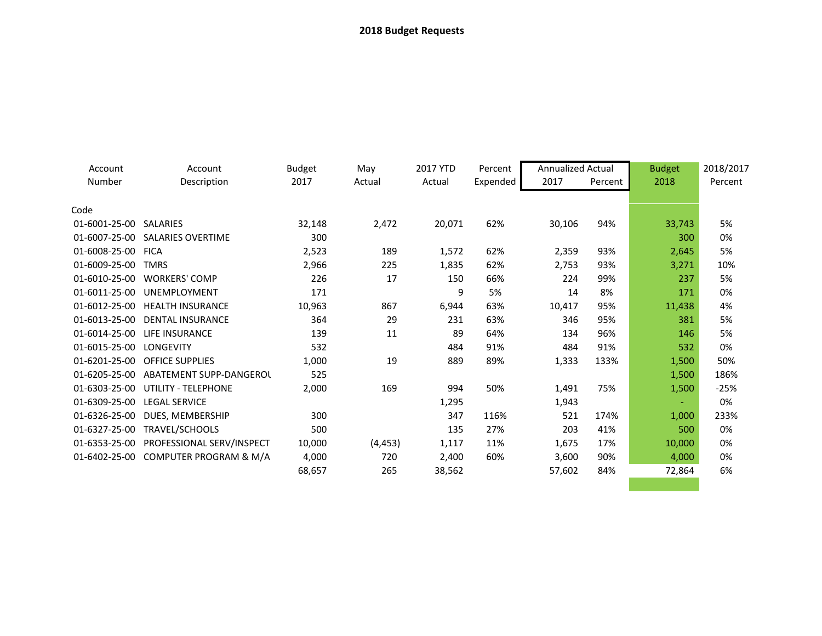| Account                 | Account                                 | <b>Budget</b> | May      | 2017 YTD | Percent  | <b>Annualized Actual</b> |         | <b>Budget</b> | 2018/2017 |
|-------------------------|-----------------------------------------|---------------|----------|----------|----------|--------------------------|---------|---------------|-----------|
| Number                  | Description                             | 2017          | Actual   | Actual   | Expended | 2017                     | Percent | 2018          | Percent   |
|                         |                                         |               |          |          |          |                          |         |               |           |
| Code                    |                                         |               |          |          |          |                          |         |               |           |
| 01-6001-25-00 SALARIES  |                                         | 32,148        | 2,472    | 20,071   | 62%      | 30,106                   | 94%     | 33,743        | 5%        |
|                         | 01-6007-25-00 SALARIES OVERTIME         | 300           |          |          |          |                          |         | 300           | 0%        |
| 01-6008-25-00 FICA      |                                         | 2,523         | 189      | 1,572    | 62%      | 2,359                    | 93%     | 2,645         | 5%        |
| 01-6009-25-00           | <b>TMRS</b>                             | 2,966         | 225      | 1,835    | 62%      | 2,753                    | 93%     | 3,271         | 10%       |
|                         | 01-6010-25-00 WORKERS' COMP             | 226           | 17       | 150      | 66%      | 224                      | 99%     | 237           | 5%        |
| 01-6011-25-00           | UNEMPLOYMENT                            | 171           |          | 9        | 5%       | 14                       | 8%      | 171           | 0%        |
| 01-6012-25-00           | <b>HEALTH INSURANCE</b>                 | 10,963        | 867      | 6,944    | 63%      | 10,417                   | 95%     | 11,438        | 4%        |
|                         | 01-6013-25-00 DENTAL INSURANCE          | 364           | 29       | 231      | 63%      | 346                      | 95%     | 381           | 5%        |
| 01-6014-25-00           | LIFE INSURANCE                          | 139           | 11       | 89       | 64%      | 134                      | 96%     | 146           | 5%        |
| 01-6015-25-00 LONGEVITY |                                         | 532           |          | 484      | 91%      | 484                      | 91%     | 532           | 0%        |
|                         | 01-6201-25-00 OFFICE SUPPLIES           | 1,000         | 19       | 889      | 89%      | 1,333                    | 133%    | 1,500         | 50%       |
| 01-6205-25-00           | ABATEMENT SUPP-DANGEROL                 | 525           |          |          |          |                          |         | 1,500         | 186%      |
|                         | 01-6303-25-00 UTILITY - TELEPHONE       | 2,000         | 169      | 994      | 50%      | 1,491                    | 75%     | 1,500         | $-25%$    |
| 01-6309-25-00           | <b>LEGAL SERVICE</b>                    |               |          | 1,295    |          | 1,943                    |         |               | 0%        |
| 01-6326-25-00           | DUES, MEMBERSHIP                        | 300           |          | 347      | 116%     | 521                      | 174%    | 1,000         | 233%      |
| 01-6327-25-00           | TRAVEL/SCHOOLS                          | 500           |          | 135      | 27%      | 203                      | 41%     | 500           | 0%        |
|                         | 01-6353-25-00 PROFESSIONAL SERV/INSPECT | 10,000        | (4, 453) | 1,117    | 11%      | 1,675                    | 17%     | 10,000        | 0%        |
| 01-6402-25-00           | COMPUTER PROGRAM & M/A                  | 4,000         | 720      | 2,400    | 60%      | 3,600                    | 90%     | 4,000         | 0%        |
|                         |                                         | 68,657        | 265      | 38,562   |          | 57,602                   | 84%     | 72,864        | 6%        |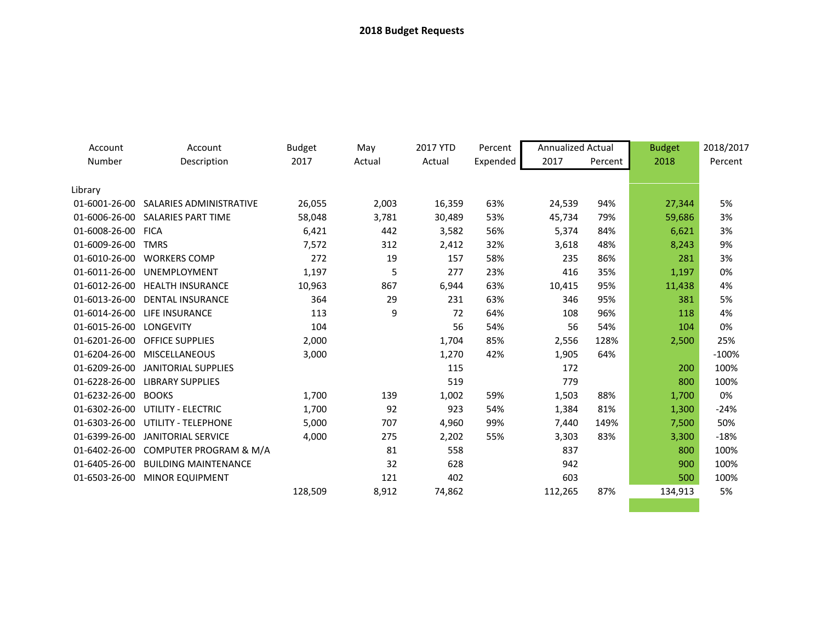| Account            | Account                          | <b>Budget</b> | May    | 2017 YTD | Percent  | <b>Annualized Actual</b> |         | <b>Budget</b> | 2018/2017 |
|--------------------|----------------------------------|---------------|--------|----------|----------|--------------------------|---------|---------------|-----------|
| Number             | Description                      | 2017          | Actual | Actual   | Expended | 2017                     | Percent | 2018          | Percent   |
|                    |                                  |               |        |          |          |                          |         |               |           |
| Library            |                                  |               |        |          |          |                          |         |               |           |
| 01-6001-26-00      | SALARIES ADMINISTRATIVE          | 26,055        | 2,003  | 16,359   | 63%      | 24,539                   | 94%     | 27,344        | 5%        |
|                    | 01-6006-26-00 SALARIES PART TIME | 58,048        | 3,781  | 30,489   | 53%      | 45,734                   | 79%     | 59,686        | 3%        |
| 01-6008-26-00 FICA |                                  | 6,421         | 442    | 3,582    | 56%      | 5,374                    | 84%     | 6,621         | 3%        |
| 01-6009-26-00      | <b>TMRS</b>                      | 7,572         | 312    | 2,412    | 32%      | 3,618                    | 48%     | 8,243         | 9%        |
| 01-6010-26-00      | <b>WORKERS COMP</b>              | 272           | 19     | 157      | 58%      | 235                      | 86%     | 281           | 3%        |
| 01-6011-26-00      | UNEMPLOYMENT                     | 1,197         | 5      | 277      | 23%      | 416                      | 35%     | 1,197         | 0%        |
| 01-6012-26-00      | <b>HEALTH INSURANCE</b>          | 10,963        | 867    | 6,944    | 63%      | 10,415                   | 95%     | 11,438        | 4%        |
| 01-6013-26-00      | <b>DENTAL INSURANCE</b>          | 364           | 29     | 231      | 63%      | 346                      | 95%     | 381           | 5%        |
| 01-6014-26-00      | LIFE INSURANCE                   | 113           | 9      | 72       | 64%      | 108                      | 96%     | 118           | 4%        |
| 01-6015-26-00      | <b>LONGEVITY</b>                 | 104           |        | 56       | 54%      | 56                       | 54%     | 104           | 0%        |
| 01-6201-26-00      | <b>OFFICE SUPPLIES</b>           | 2,000         |        | 1,704    | 85%      | 2,556                    | 128%    | 2,500         | 25%       |
| 01-6204-26-00      | <b>MISCELLANEOUS</b>             | 3,000         |        | 1,270    | 42%      | 1,905                    | 64%     |               | $-100%$   |
| 01-6209-26-00      | <b>JANITORIAL SUPPLIES</b>       |               |        | 115      |          | 172                      |         | 200           | 100%      |
| 01-6228-26-00      | <b>LIBRARY SUPPLIES</b>          |               |        | 519      |          | 779                      |         | 800           | 100%      |
| 01-6232-26-00      | <b>BOOKS</b>                     | 1,700         | 139    | 1,002    | 59%      | 1,503                    | 88%     | 1,700         | 0%        |
| 01-6302-26-00      | UTILITY - ELECTRIC               | 1,700         | 92     | 923      | 54%      | 1,384                    | 81%     | 1,300         | $-24%$    |
| 01-6303-26-00      | <b>UTILITY - TELEPHONE</b>       | 5,000         | 707    | 4,960    | 99%      | 7,440                    | 149%    | 7,500         | 50%       |
| 01-6399-26-00      | <b>JANITORIAL SERVICE</b>        | 4,000         | 275    | 2,202    | 55%      | 3,303                    | 83%     | 3,300         | $-18%$    |
| 01-6402-26-00      | COMPUTER PROGRAM & M/A           |               | 81     | 558      |          | 837                      |         | 800           | 100%      |
| 01-6405-26-00      | <b>BUILDING MAINTENANCE</b>      |               | 32     | 628      |          | 942                      |         | 900           | 100%      |
| 01-6503-26-00      | <b>MINOR EQUIPMENT</b>           |               | 121    | 402      |          | 603                      |         | 500           | 100%      |
|                    |                                  | 128,509       | 8,912  | 74,862   |          | 112,265                  | 87%     | 134,913       | 5%        |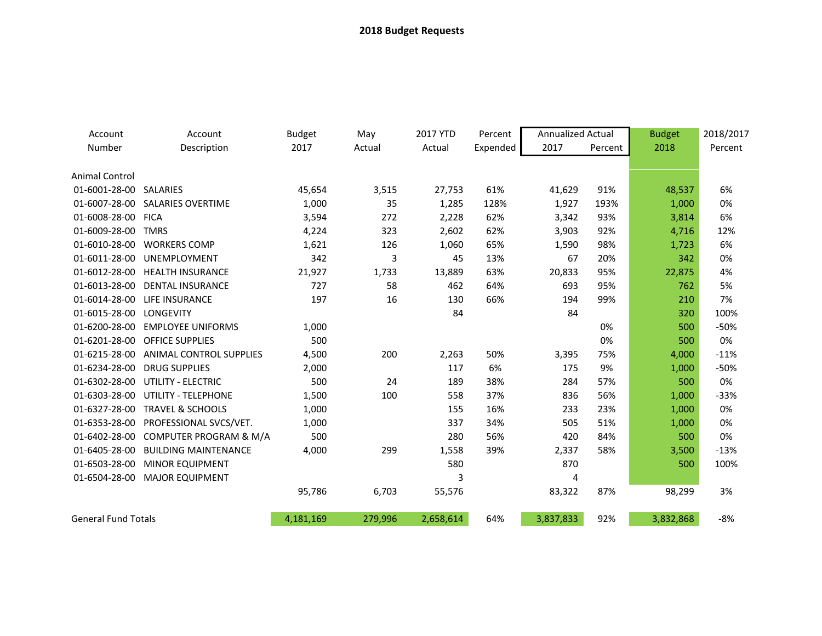| Account                    | Account                        | <b>Budget</b> | May     | 2017 YTD  | Percent  | <b>Annualized Actual</b> |         | <b>Budget</b> | 2018/2017 |
|----------------------------|--------------------------------|---------------|---------|-----------|----------|--------------------------|---------|---------------|-----------|
| Number                     | Description                    | 2017          | Actual  | Actual    | Expended | 2017                     | Percent | 2018          | Percent   |
| Animal Control             |                                |               |         |           |          |                          |         |               |           |
| 01-6001-28-00 SALARIES     |                                | 45,654        | 3,515   | 27,753    | 61%      | 41,629                   | 91%     | 48,537        | 6%        |
| 01-6007-28-00              | <b>SALARIES OVERTIME</b>       | 1,000         | 35      | 1,285     | 128%     | 1,927                    | 193%    | 1,000         | 0%        |
| 01-6008-28-00 FICA         |                                | 3,594         | 272     | 2,228     | 62%      | 3,342                    | 93%     | 3,814         | 6%        |
| 01-6009-28-00              | <b>TMRS</b>                    | 4,224         | 323     | 2,602     | 62%      | 3,903                    | 92%     | 4,716         | 12%       |
| 01-6010-28-00              | <b>WORKERS COMP</b>            | 1,621         | 126     | 1,060     | 65%      | 1,590                    | 98%     | 1,723         | 6%        |
| 01-6011-28-00              | UNEMPLOYMENT                   | 342           | 3       | 45        | 13%      | 67                       | 20%     | 342           | 0%        |
|                            | 01-6012-28-00 HEALTH INSURANCE | 21,927        | 1,733   | 13,889    | 63%      | 20,833                   | 95%     | 22,875        | 4%        |
| 01-6013-28-00              | <b>DENTAL INSURANCE</b>        | 727           | 58      | 462       | 64%      | 693                      | 95%     | 762           | 5%        |
| 01-6014-28-00              | <b>LIFE INSURANCE</b>          | 197           | 16      | 130       | 66%      | 194                      | 99%     | 210           | 7%        |
| 01-6015-28-00              | <b>LONGEVITY</b>               |               |         | 84        |          | 84                       |         | 320           | 100%      |
| 01-6200-28-00              | <b>EMPLOYEE UNIFORMS</b>       | 1,000         |         |           |          |                          | 0%      | 500           | $-50%$    |
| 01-6201-28-00              | <b>OFFICE SUPPLIES</b>         | 500           |         |           |          |                          | 0%      | 500           | 0%        |
| 01-6215-28-00              | ANIMAL CONTROL SUPPLIES        | 4,500         | 200     | 2,263     | 50%      | 3,395                    | 75%     | 4,000         | $-11%$    |
| 01-6234-28-00              | <b>DRUG SUPPLIES</b>           | 2,000         |         | 117       | 6%       | 175                      | 9%      | 1,000         | $-50%$    |
| 01-6302-28-00              | UTILITY - ELECTRIC             | 500           | 24      | 189       | 38%      | 284                      | 57%     | 500           | 0%        |
| 01-6303-28-00              | UTILITY - TELEPHONE            | 1,500         | 100     | 558       | 37%      | 836                      | 56%     | 1,000         | $-33%$    |
| 01-6327-28-00              | <b>TRAVEL &amp; SCHOOLS</b>    | 1,000         |         | 155       | 16%      | 233                      | 23%     | 1,000         | 0%        |
| 01-6353-28-00              | PROFESSIONAL SVCS/VET.         | 1,000         |         | 337       | 34%      | 505                      | 51%     | 1,000         | 0%        |
| 01-6402-28-00              | COMPUTER PROGRAM & M/A         | 500           |         | 280       | 56%      | 420                      | 84%     | 500           | 0%        |
| 01-6405-28-00              | <b>BUILDING MAINTENANCE</b>    | 4,000         | 299     | 1,558     | 39%      | 2,337                    | 58%     | 3,500         | $-13%$    |
| 01-6503-28-00              | <b>MINOR EQUIPMENT</b>         |               |         | 580       |          | 870                      |         | 500           | 100%      |
| 01-6504-28-00              | <b>MAJOR EQUIPMENT</b>         |               |         | 3         |          | 4                        |         |               |           |
|                            |                                | 95,786        | 6,703   | 55,576    |          | 83,322                   | 87%     | 98,299        | 3%        |
| <b>General Fund Totals</b> |                                | 4,181,169     | 279,996 | 2,658,614 | 64%      | 3,837,833                | 92%     | 3,832,868     | $-8%$     |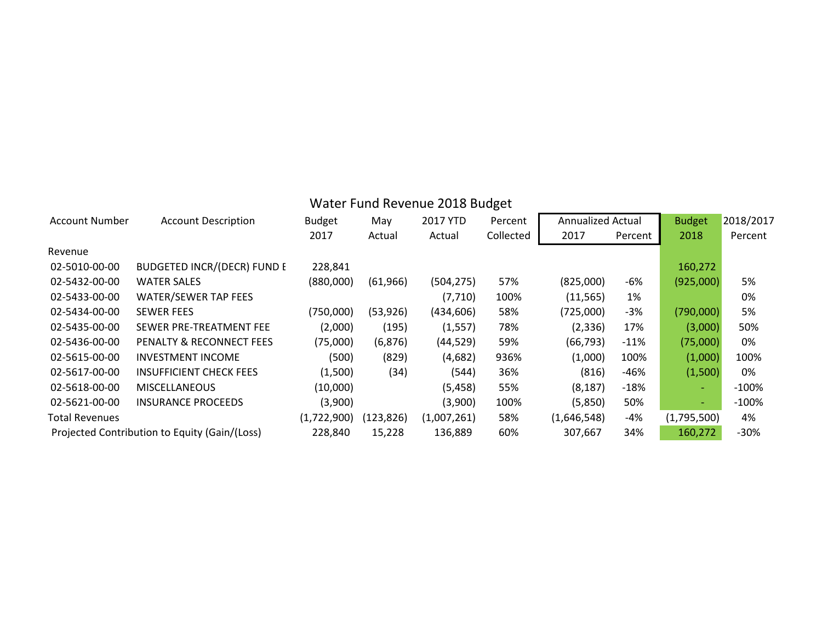|                       | Water Fund Revenue 2018 Budget                |               |           |             |           |                          |         |                          |           |  |
|-----------------------|-----------------------------------------------|---------------|-----------|-------------|-----------|--------------------------|---------|--------------------------|-----------|--|
| <b>Account Number</b> | <b>Account Description</b>                    | <b>Budget</b> | May       | 2017 YTD    | Percent   | <b>Annualized Actual</b> |         | <b>Budget</b>            | 2018/2017 |  |
|                       |                                               | 2017          | Actual    | Actual      | Collected | 2017                     | Percent | 2018                     | Percent   |  |
| Revenue               |                                               |               |           |             |           |                          |         |                          |           |  |
| 02-5010-00-00         | <b>BUDGETED INCR/(DECR) FUND E</b>            | 228,841       |           |             |           |                          |         | 160,272                  |           |  |
| 02-5432-00-00         | <b>WATER SALES</b>                            | (880,000)     | (61, 966) | (504, 275)  | 57%       | (825,000)                | -6%     | (925,000)                | 5%        |  |
| 02-5433-00-00         | <b>WATER/SEWER TAP FEES</b>                   |               |           | (7, 710)    | 100%      | (11, 565)                | 1%      |                          | 0%        |  |
| 02-5434-00-00         | <b>SEWER FEES</b>                             | (750,000)     | (53, 926) | (434, 606)  | 58%       | (725,000)                | -3%     | (790,000)                | 5%        |  |
| 02-5435-00-00         | SEWER PRE-TREATMENT FEE                       | (2,000)       | (195)     | (1, 557)    | 78%       | (2, 336)                 | 17%     | (3,000)                  | 50%       |  |
| 02-5436-00-00         | PENALTY & RECONNECT FEES                      | (75,000)      | (6, 876)  | (44, 529)   | 59%       | (66, 793)                | $-11%$  | (75,000)                 | 0%        |  |
| 02-5615-00-00         | <b>INVESTMENT INCOME</b>                      | (500)         | (829)     | (4,682)     | 936%      | (1,000)                  | 100%    | (1,000)                  | 100%      |  |
| 02-5617-00-00         | <b>INSUFFICIENT CHECK FEES</b>                | (1,500)       | (34)      | (544)       | 36%       | (816)                    | $-46%$  | (1,500)                  | 0%        |  |
| 02-5618-00-00         | <b>MISCELLANEOUS</b>                          | (10,000)      |           | (5, 458)    | 55%       | (8, 187)                 | $-18%$  | $\overline{\phantom{0}}$ | $-100%$   |  |
| 02-5621-00-00         | <b>INSURANCE PROCEEDS</b>                     | (3,900)       |           | (3,900)     | 100%      | (5,850)                  | 50%     | $\sim$                   | $-100%$   |  |
| <b>Total Revenues</b> |                                               | (1,722,900)   | (123,826) | (1,007,261) | 58%       | (1,646,548)              | -4%     | (1,795,500)              | 4%        |  |
|                       | Projected Contribution to Equity (Gain/(Loss) | 228,840       | 15,228    | 136,889     | 60%       | 307,667                  | 34%     | 160,272                  | $-30%$    |  |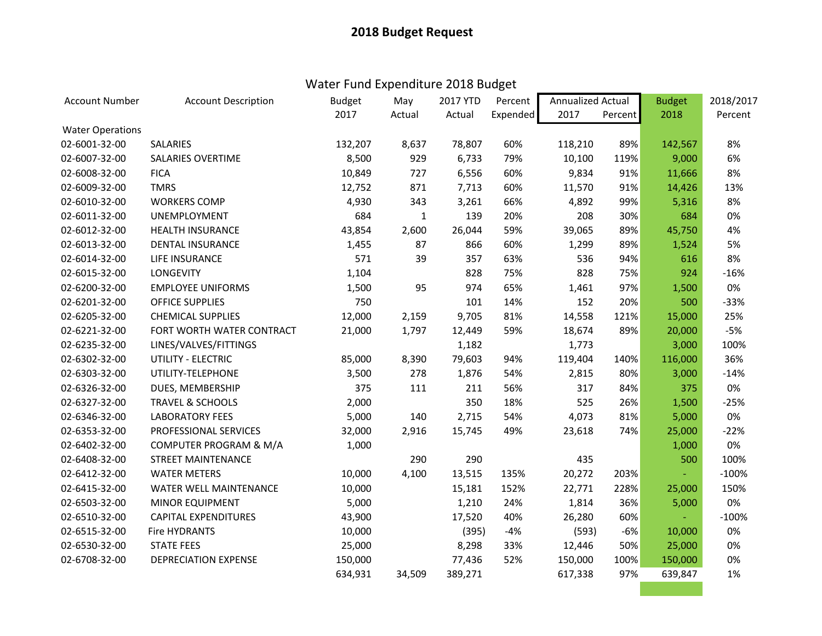# Water Fund Expenditure 2018 Budget

| <b>Account Number</b>   | <b>Account Description</b>  | <b>Budget</b> | May          | 2017 YTD | Percent  | Annualized Actual |         | <b>Budget</b> | 2018/2017 |
|-------------------------|-----------------------------|---------------|--------------|----------|----------|-------------------|---------|---------------|-----------|
|                         |                             | 2017          | Actual       | Actual   | Expended | 2017              | Percent | 2018          | Percent   |
| <b>Water Operations</b> |                             |               |              |          |          |                   |         |               |           |
| 02-6001-32-00           | SALARIES                    | 132,207       | 8,637        | 78,807   | 60%      | 118,210           | 89%     | 142,567       | 8%        |
| 02-6007-32-00           | <b>SALARIES OVERTIME</b>    | 8,500         | 929          | 6,733    | 79%      | 10,100            | 119%    | 9,000         | 6%        |
| 02-6008-32-00           | <b>FICA</b>                 | 10,849        | 727          | 6,556    | 60%      | 9,834             | 91%     | 11,666        | 8%        |
| 02-6009-32-00           | <b>TMRS</b>                 | 12,752        | 871          | 7,713    | 60%      | 11,570            | 91%     | 14,426        | 13%       |
| 02-6010-32-00           | <b>WORKERS COMP</b>         | 4,930         | 343          | 3,261    | 66%      | 4,892             | 99%     | 5,316         | 8%        |
| 02-6011-32-00           | UNEMPLOYMENT                | 684           | $\mathbf{1}$ | 139      | 20%      | 208               | 30%     | 684           | 0%        |
| 02-6012-32-00           | <b>HEALTH INSURANCE</b>     | 43,854        | 2,600        | 26,044   | 59%      | 39,065            | 89%     | 45,750        | 4%        |
| 02-6013-32-00           | <b>DENTAL INSURANCE</b>     | 1,455         | 87           | 866      | 60%      | 1,299             | 89%     | 1,524         | 5%        |
| 02-6014-32-00           | LIFE INSURANCE              | 571           | 39           | 357      | 63%      | 536               | 94%     | 616           | 8%        |
| 02-6015-32-00           | <b>LONGEVITY</b>            | 1,104         |              | 828      | 75%      | 828               | 75%     | 924           | $-16%$    |
| 02-6200-32-00           | <b>EMPLOYEE UNIFORMS</b>    | 1,500         | 95           | 974      | 65%      | 1,461             | 97%     | 1,500         | 0%        |
| 02-6201-32-00           | <b>OFFICE SUPPLIES</b>      | 750           |              | 101      | 14%      | 152               | 20%     | 500           | $-33%$    |
| 02-6205-32-00           | <b>CHEMICAL SUPPLIES</b>    | 12,000        | 2,159        | 9,705    | 81%      | 14,558            | 121%    | 15,000        | 25%       |
| 02-6221-32-00           | FORT WORTH WATER CONTRACT   | 21,000        | 1,797        | 12,449   | 59%      | 18,674            | 89%     | 20,000        | $-5%$     |
| 02-6235-32-00           | LINES/VALVES/FITTINGS       |               |              | 1,182    |          | 1,773             |         | 3,000         | 100%      |
| 02-6302-32-00           | UTILITY - ELECTRIC          | 85,000        | 8,390        | 79,603   | 94%      | 119,404           | 140%    | 116,000       | 36%       |
| 02-6303-32-00           | UTILITY-TELEPHONE           | 3,500         | 278          | 1,876    | 54%      | 2,815             | 80%     | 3,000         | $-14%$    |
| 02-6326-32-00           | DUES, MEMBERSHIP            | 375           | 111          | 211      | 56%      | 317               | 84%     | 375           | 0%        |
| 02-6327-32-00           | <b>TRAVEL &amp; SCHOOLS</b> | 2,000         |              | 350      | 18%      | 525               | 26%     | 1,500         | $-25%$    |
| 02-6346-32-00           | <b>LABORATORY FEES</b>      | 5,000         | 140          | 2,715    | 54%      | 4,073             | 81%     | 5,000         | 0%        |
| 02-6353-32-00           | PROFESSIONAL SERVICES       | 32,000        | 2,916        | 15,745   | 49%      | 23,618            | 74%     | 25,000        | $-22%$    |
| 02-6402-32-00           | COMPUTER PROGRAM & M/A      | 1,000         |              |          |          |                   |         | 1,000         | 0%        |
| 02-6408-32-00           | <b>STREET MAINTENANCE</b>   |               | 290          | 290      |          | 435               |         | 500           | 100%      |
| 02-6412-32-00           | <b>WATER METERS</b>         | 10,000        | 4,100        | 13,515   | 135%     | 20,272            | 203%    |               | $-100%$   |
| 02-6415-32-00           | WATER WELL MAINTENANCE      | 10,000        |              | 15,181   | 152%     | 22,771            | 228%    | 25,000        | 150%      |
| 02-6503-32-00           | <b>MINOR EQUIPMENT</b>      | 5,000         |              | 1,210    | 24%      | 1,814             | 36%     | 5,000         | 0%        |
| 02-6510-32-00           | <b>CAPITAL EXPENDITURES</b> | 43,900        |              | 17,520   | 40%      | 26,280            | 60%     |               | $-100%$   |
| 02-6515-32-00           | <b>Fire HYDRANTS</b>        | 10,000        |              | (395)    | $-4%$    | (593)             | $-6%$   | 10,000        | 0%        |
| 02-6530-32-00           | <b>STATE FEES</b>           | 25,000        |              | 8,298    | 33%      | 12,446            | 50%     | 25,000        | 0%        |
| 02-6708-32-00           | <b>DEPRECIATION EXPENSE</b> | 150,000       |              | 77,436   | 52%      | 150,000           | 100%    | 150,000       | 0%        |
|                         |                             | 634,931       | 34,509       | 389,271  |          | 617,338           | 97%     | 639,847       | 1%        |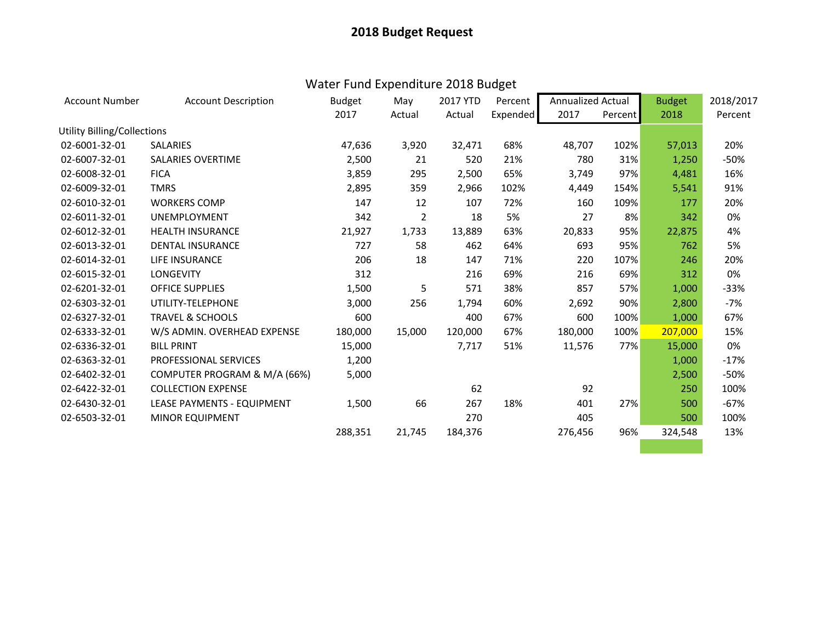# Water Fund Expenditure 2018 Budget

| <b>Account Number</b>              | <b>Account Description</b>   | <b>Budget</b> | May            | 2017 YTD | Percent  | <b>Annualized Actual</b> |         | <b>Budget</b> | 2018/2017 |
|------------------------------------|------------------------------|---------------|----------------|----------|----------|--------------------------|---------|---------------|-----------|
|                                    |                              | 2017          | Actual         | Actual   | Expended | 2017                     | Percent | 2018          | Percent   |
| <b>Utility Billing/Collections</b> |                              |               |                |          |          |                          |         |               |           |
| 02-6001-32-01                      | <b>SALARIES</b>              | 47,636        | 3,920          | 32,471   | 68%      | 48,707                   | 102%    | 57,013        | 20%       |
| 02-6007-32-01                      | <b>SALARIES OVERTIME</b>     | 2,500         | 21             | 520      | 21%      | 780                      | 31%     | 1,250         | -50%      |
| 02-6008-32-01                      | <b>FICA</b>                  | 3,859         | 295            | 2,500    | 65%      | 3,749                    | 97%     | 4,481         | 16%       |
| 02-6009-32-01                      | <b>TMRS</b>                  | 2,895         | 359            | 2,966    | 102%     | 4,449                    | 154%    | 5,541         | 91%       |
| 02-6010-32-01                      | <b>WORKERS COMP</b>          | 147           | 12             | 107      | 72%      | 160                      | 109%    | 177           | 20%       |
| 02-6011-32-01                      | <b>UNEMPLOYMENT</b>          | 342           | $\overline{2}$ | 18       | 5%       | 27                       | 8%      | 342           | 0%        |
| 02-6012-32-01                      | <b>HEALTH INSURANCE</b>      | 21,927        | 1,733          | 13,889   | 63%      | 20,833                   | 95%     | 22,875        | 4%        |
| 02-6013-32-01                      | <b>DENTAL INSURANCE</b>      | 727           | 58             | 462      | 64%      | 693                      | 95%     | 762           | 5%        |
| 02-6014-32-01                      | LIFE INSURANCE               | 206           | 18             | 147      | 71%      | 220                      | 107%    | 246           | 20%       |
| 02-6015-32-01                      | <b>LONGEVITY</b>             | 312           |                | 216      | 69%      | 216                      | 69%     | 312           | 0%        |
| 02-6201-32-01                      | <b>OFFICE SUPPLIES</b>       | 1,500         | 5              | 571      | 38%      | 857                      | 57%     | 1,000         | $-33%$    |
| 02-6303-32-01                      | UTILITY-TELEPHONE            | 3,000         | 256            | 1,794    | 60%      | 2,692                    | 90%     | 2,800         | $-7%$     |
| 02-6327-32-01                      | <b>TRAVEL &amp; SCHOOLS</b>  | 600           |                | 400      | 67%      | 600                      | 100%    | 1,000         | 67%       |
| 02-6333-32-01                      | W/S ADMIN. OVERHEAD EXPENSE  | 180,000       | 15,000         | 120,000  | 67%      | 180,000                  | 100%    | 207,000       | 15%       |
| 02-6336-32-01                      | <b>BILL PRINT</b>            | 15,000        |                | 7,717    | 51%      | 11,576                   | 77%     | 15,000        | 0%        |
| 02-6363-32-01                      | <b>PROFESSIONAL SERVICES</b> | 1,200         |                |          |          |                          |         | 1,000         | $-17%$    |
| 02-6402-32-01                      | COMPUTER PROGRAM & M/A (66%) | 5,000         |                |          |          |                          |         | 2,500         | $-50%$    |
| 02-6422-32-01                      | <b>COLLECTION EXPENSE</b>    |               |                | 62       |          | 92                       |         | 250           | 100%      |
| 02-6430-32-01                      | LEASE PAYMENTS - EQUIPMENT   | 1,500         | 66             | 267      | 18%      | 401                      | 27%     | 500           | $-67%$    |
| 02-6503-32-01                      | <b>MINOR EQUIPMENT</b>       |               |                | 270      |          | 405                      |         | 500           | 100%      |
|                                    |                              | 288,351       | 21,745         | 184,376  |          | 276,456                  | 96%     | 324,548       | 13%       |
|                                    |                              |               |                |          |          |                          |         |               |           |
|                                    |                              |               |                |          |          |                          |         |               |           |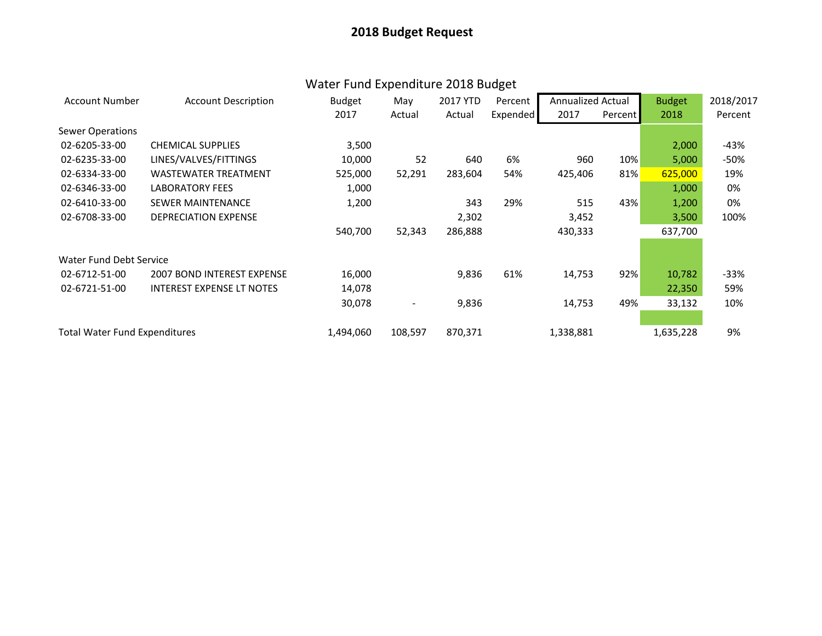# Water Fund Expenditure 2018 Budget

| <b>Account Number</b>                | <b>Account Description</b>        | <b>Budget</b> | May                          | 2017 YTD | Percent  | Annualized Actual |         | <b>Budget</b> | 2018/2017 |
|--------------------------------------|-----------------------------------|---------------|------------------------------|----------|----------|-------------------|---------|---------------|-----------|
|                                      |                                   | 2017          | Actual                       | Actual   | Expended | 2017              | Percent | 2018          | Percent   |
| <b>Sewer Operations</b>              |                                   |               |                              |          |          |                   |         |               |           |
| 02-6205-33-00                        | <b>CHEMICAL SUPPLIES</b>          | 3,500         |                              |          |          |                   |         | 2,000         | -43%      |
| 02-6235-33-00                        | LINES/VALVES/FITTINGS             | 10,000        | 52                           | 640      | 6%       | 960               | 10%     | 5,000         | -50%      |
| 02-6334-33-00                        | <b>WASTEWATER TREATMENT</b>       | 525,000       | 52,291                       | 283,604  | 54%      | 425,406           | 81%     | 625,000       | 19%       |
| 02-6346-33-00                        | <b>LABORATORY FEES</b>            | 1,000         |                              |          |          |                   |         | 1,000         | 0%        |
| 02-6410-33-00                        | <b>SEWER MAINTENANCE</b>          | 1,200         |                              | 343      | 29%      | 515               | 43%     | 1,200         | 0%        |
| 02-6708-33-00                        | <b>DEPRECIATION EXPENSE</b>       |               |                              | 2,302    |          | 3,452             |         | 3,500         | 100%      |
|                                      |                                   | 540,700       | 52,343                       | 286,888  |          | 430,333           |         | 637,700       |           |
|                                      |                                   |               |                              |          |          |                   |         |               |           |
| Water Fund Debt Service              |                                   |               |                              |          |          |                   |         |               |           |
| 02-6712-51-00                        | <b>2007 BOND INTEREST EXPENSE</b> | 16,000        |                              | 9,836    | 61%      | 14,753            | 92%     | 10,782        | $-33%$    |
| 02-6721-51-00                        | <b>INTEREST EXPENSE LT NOTES</b>  | 14,078        |                              |          |          |                   |         | 22,350        | 59%       |
|                                      |                                   | 30,078        | $\qquad \qquad \blacksquare$ | 9,836    |          | 14,753            | 49%     | 33,132        | 10%       |
|                                      |                                   |               |                              |          |          |                   |         |               |           |
| <b>Total Water Fund Expenditures</b> |                                   | 1,494,060     | 108,597                      | 870,371  |          | 1,338,881         |         | 1,635,228     | 9%        |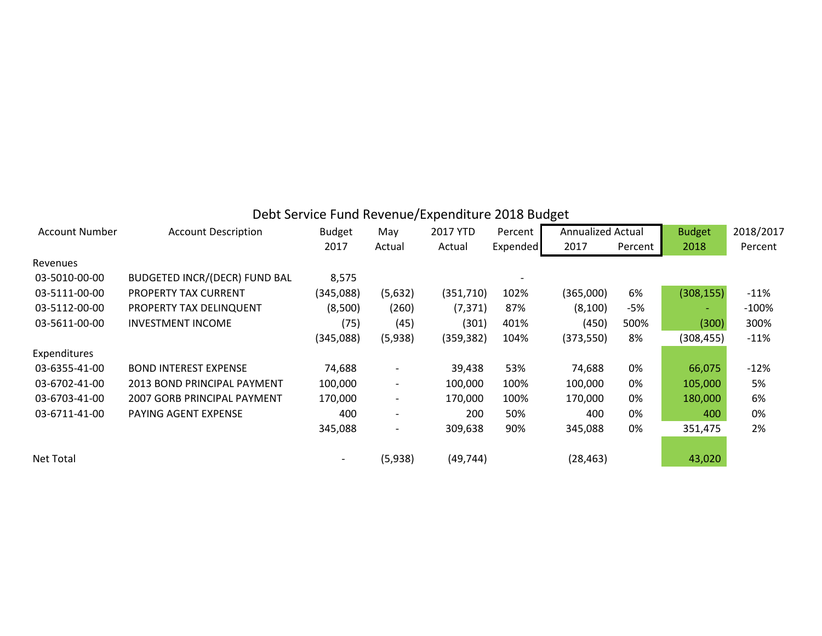|                       |                                      |               |                          | Debt Service Fund Revenue/Expenditure 2018 Budget |                 |                          |         |               |           |
|-----------------------|--------------------------------------|---------------|--------------------------|---------------------------------------------------|-----------------|--------------------------|---------|---------------|-----------|
| <b>Account Number</b> | <b>Account Description</b>           | <b>Budget</b> | May                      | 2017 YTD                                          | Percent         | <b>Annualized Actual</b> |         | <b>Budget</b> | 2018/2017 |
|                       |                                      | 2017          | Actual                   | Actual                                            | <b>Expended</b> | 2017                     | Percent | 2018          | Percent   |
| Revenues              |                                      |               |                          |                                                   |                 |                          |         |               |           |
| 03-5010-00-00         | <b>BUDGETED INCR/(DECR) FUND BAL</b> | 8,575         |                          |                                                   |                 |                          |         |               |           |
| 03-5111-00-00         | PROPERTY TAX CURRENT                 | (345,088)     | (5,632)                  | (351, 710)                                        | 102%            | (365,000)                | 6%      | (308, 155)    | $-11%$    |
| 03-5112-00-00         | PROPERTY TAX DELINQUENT              | (8,500)       | (260)                    | (7, 371)                                          | 87%             | (8, 100)                 | -5%     | ٠             | $-100%$   |
| 03-5611-00-00         | <b>INVESTMENT INCOME</b>             | (75)          | (45)                     | (301)                                             | 401%            | (450)                    | 500%    | (300)         | 300%      |
|                       |                                      | (345,088)     | (5,938)                  | (359, 382)                                        | 104%            | (373, 550)               | 8%      | (308, 455)    | $-11%$    |
| Expenditures          |                                      |               |                          |                                                   |                 |                          |         |               |           |
| 03-6355-41-00         | <b>BOND INTEREST EXPENSE</b>         | 74,688        | $\overline{\phantom{a}}$ | 39,438                                            | 53%             | 74,688                   | 0%      | 66,075        | $-12%$    |
| 03-6702-41-00         | 2013 BOND PRINCIPAL PAYMENT          | 100,000       | $\overline{\phantom{a}}$ | 100,000                                           | 100%            | 100,000                  | 0%      | 105,000       | 5%        |
| 03-6703-41-00         | <b>2007 GORB PRINCIPAL PAYMENT</b>   | 170,000       | $\overline{\phantom{a}}$ | 170,000                                           | 100%            | 170,000                  | 0%      | 180,000       | 6%        |
| 03-6711-41-00         | PAYING AGENT EXPENSE                 | 400           | $\overline{\phantom{a}}$ | 200                                               | 50%             | 400                      | 0%      | 400           | 0%        |
|                       |                                      | 345,088       | $\overline{\phantom{a}}$ | 309,638                                           | 90%             | 345,088                  | 0%      | 351,475       | 2%        |
|                       |                                      |               |                          |                                                   |                 |                          |         |               |           |
| <b>Net Total</b>      |                                      |               | (5,938)                  | (49, 744)                                         |                 | (28, 463)                |         | 43,020        |           |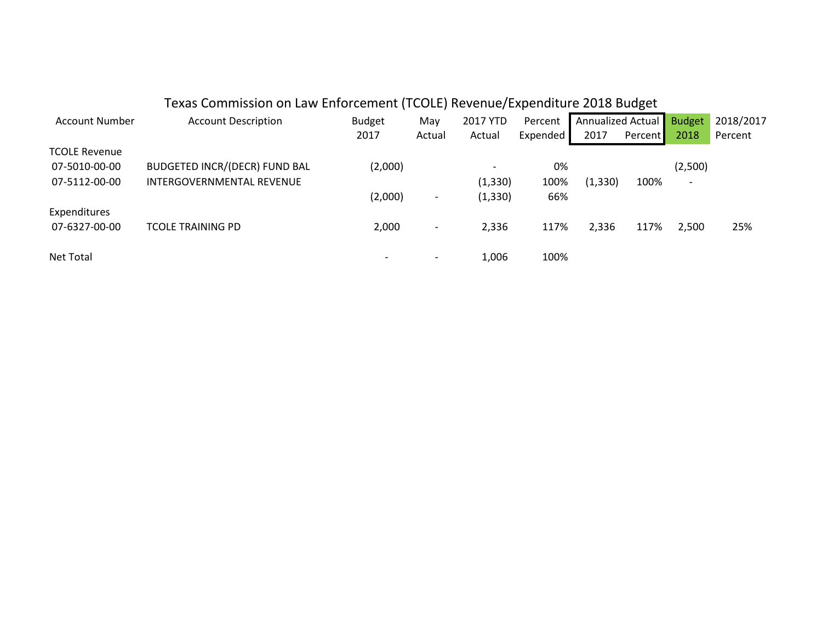|                      | Texas Commission on Law Enforcement (TCOLE) Revenue/Expenditure 2018 Budget |               |                          |                          |          |                   |         |                          |           |
|----------------------|-----------------------------------------------------------------------------|---------------|--------------------------|--------------------------|----------|-------------------|---------|--------------------------|-----------|
| Account Number       | <b>Account Description</b>                                                  | <b>Budget</b> | May                      | 2017 YTD                 | Percent  | Annualized Actual |         | <b>Budget</b>            | 2018/2017 |
|                      |                                                                             | 2017          | Actual                   | Actual                   | Expended | 2017              | Percent | 2018                     | Percent   |
| <b>TCOLE Revenue</b> |                                                                             |               |                          |                          |          |                   |         |                          |           |
| 07-5010-00-00        | <b>BUDGETED INCR/(DECR) FUND BAL</b>                                        | (2,000)       |                          | $\overline{\phantom{a}}$ | 0%       |                   |         | (2,500)                  |           |
| 07-5112-00-00        | INTERGOVERNMENTAL REVENUE                                                   |               |                          | (1, 330)                 | 100%     | (1, 330)          | 100%    | $\overline{\phantom{a}}$ |           |
|                      |                                                                             | (2,000)       | $\overline{\phantom{a}}$ | (1, 330)                 | 66%      |                   |         |                          |           |
| Expenditures         |                                                                             |               |                          |                          |          |                   |         |                          |           |
| 07-6327-00-00        | <b>TCOLE TRAINING PD</b>                                                    | 2,000         | $\overline{\phantom{a}}$ | 2,336                    | 117%     | 2,336             | 117%    | 2,500                    | 25%       |
|                      |                                                                             |               |                          |                          |          |                   |         |                          |           |
| Net Total            |                                                                             |               | $\overline{\phantom{0}}$ | 1,006                    | 100%     |                   |         |                          |           |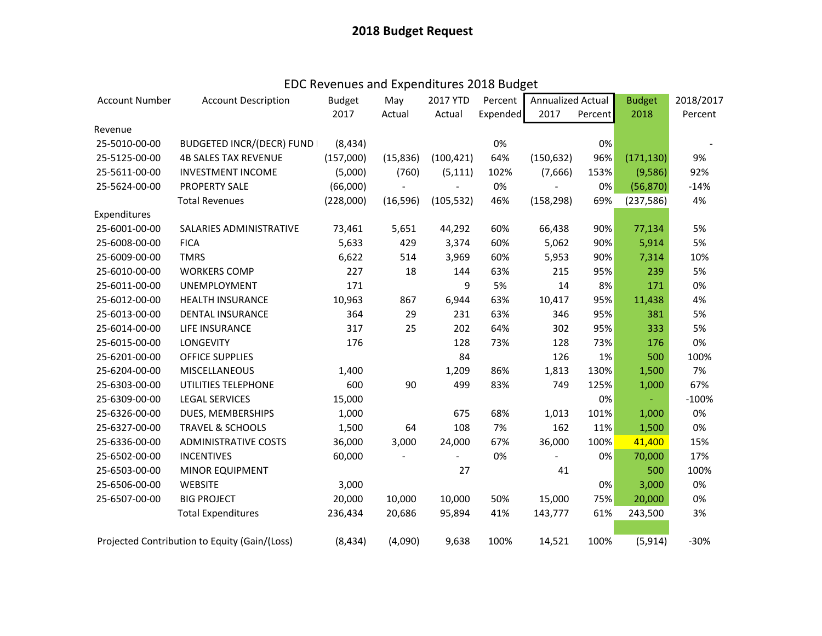| <b>Account Number</b> | <b>Account Description</b>                    | <b>Budget</b> | May       | 2017 YTD   | Percent  | Annualized Actual |         | <b>Budget</b> | 2018/2017 |
|-----------------------|-----------------------------------------------|---------------|-----------|------------|----------|-------------------|---------|---------------|-----------|
|                       |                                               | 2017          | Actual    | Actual     | Expended | 2017              | Percent | 2018          | Percent   |
| Revenue               |                                               |               |           |            |          |                   |         |               |           |
| 25-5010-00-00         | <b>BUDGETED INCR/(DECR) FUND I</b>            | (8, 434)      |           |            | 0%       |                   | 0%      |               |           |
| 25-5125-00-00         | <b>4B SALES TAX REVENUE</b>                   | (157,000)     | (15, 836) | (100, 421) | 64%      | (150, 632)        | 96%     | (171, 130)    | 9%        |
| 25-5611-00-00         | <b>INVESTMENT INCOME</b>                      | (5,000)       | (760)     | (5, 111)   | 102%     | (7,666)           | 153%    | (9,586)       | 92%       |
| 25-5624-00-00         | PROPERTY SALE                                 | (66,000)      |           |            | 0%       |                   | 0%      | (56, 870)     | $-14%$    |
|                       | <b>Total Revenues</b>                         | (228,000)     | (16, 596) | (105, 532) | 46%      | (158, 298)        | 69%     | (237, 586)    | 4%        |
| Expenditures          |                                               |               |           |            |          |                   |         |               |           |
| 25-6001-00-00         | SALARIES ADMINISTRATIVE                       | 73,461        | 5,651     | 44,292     | 60%      | 66,438            | 90%     | 77,134        | 5%        |
| 25-6008-00-00         | <b>FICA</b>                                   | 5,633         | 429       | 3,374      | 60%      | 5,062             | 90%     | 5,914         | 5%        |
| 25-6009-00-00         | <b>TMRS</b>                                   | 6,622         | 514       | 3,969      | 60%      | 5,953             | 90%     | 7,314         | 10%       |
| 25-6010-00-00         | <b>WORKERS COMP</b>                           | 227           | 18        | 144        | 63%      | 215               | 95%     | 239           | 5%        |
| 25-6011-00-00         | UNEMPLOYMENT                                  | 171           |           | 9          | 5%       | 14                | 8%      | 171           | 0%        |
| 25-6012-00-00         | <b>HEALTH INSURANCE</b>                       | 10,963        | 867       | 6,944      | 63%      | 10,417            | 95%     | 11,438        | 4%        |
| 25-6013-00-00         | <b>DENTAL INSURANCE</b>                       | 364           | 29        | 231        | 63%      | 346               | 95%     | 381           | 5%        |
| 25-6014-00-00         | LIFE INSURANCE                                | 317           | 25        | 202        | 64%      | 302               | 95%     | 333           | 5%        |
| 25-6015-00-00         | <b>LONGEVITY</b>                              | 176           |           | 128        | 73%      | 128               | 73%     | 176           | 0%        |
| 25-6201-00-00         | <b>OFFICE SUPPLIES</b>                        |               |           | 84         |          | 126               | 1%      | 500           | 100%      |
| 25-6204-00-00         | <b>MISCELLANEOUS</b>                          | 1,400         |           | 1,209      | 86%      | 1,813             | 130%    | 1,500         | 7%        |
| 25-6303-00-00         | UTILITIES TELEPHONE                           | 600           | 90        | 499        | 83%      | 749               | 125%    | 1,000         | 67%       |
| 25-6309-00-00         | <b>LEGAL SERVICES</b>                         | 15,000        |           |            |          |                   | 0%      |               | $-100%$   |
| 25-6326-00-00         | DUES, MEMBERSHIPS                             | 1,000         |           | 675        | 68%      | 1,013             | 101%    | 1,000         | 0%        |
| 25-6327-00-00         | <b>TRAVEL &amp; SCHOOLS</b>                   | 1,500         | 64        | 108        | 7%       | 162               | 11%     | 1,500         | 0%        |
| 25-6336-00-00         | <b>ADMINISTRATIVE COSTS</b>                   | 36,000        | 3,000     | 24,000     | 67%      | 36,000            | 100%    | 41,400        | 15%       |
| 25-6502-00-00         | <b>INCENTIVES</b>                             | 60,000        |           |            | 0%       |                   | 0%      | 70,000        | 17%       |
| 25-6503-00-00         | <b>MINOR EQUIPMENT</b>                        |               |           | 27         |          | 41                |         | 500           | 100%      |
| 25-6506-00-00         | <b>WEBSITE</b>                                | 3,000         |           |            |          |                   | 0%      | 3,000         | 0%        |
| 25-6507-00-00         | <b>BIG PROJECT</b>                            | 20,000        | 10,000    | 10,000     | 50%      | 15,000            | 75%     | 20,000        | 0%        |
|                       | <b>Total Expenditures</b>                     | 236,434       | 20,686    | 95,894     | 41%      | 143,777           | 61%     | 243,500       | 3%        |
|                       |                                               |               |           |            |          |                   |         |               |           |
|                       | Projected Contribution to Equity (Gain/(Loss) | (8, 434)      | (4,090)   | 9,638      | 100%     | 14,521            | 100%    | (5, 914)      | $-30%$    |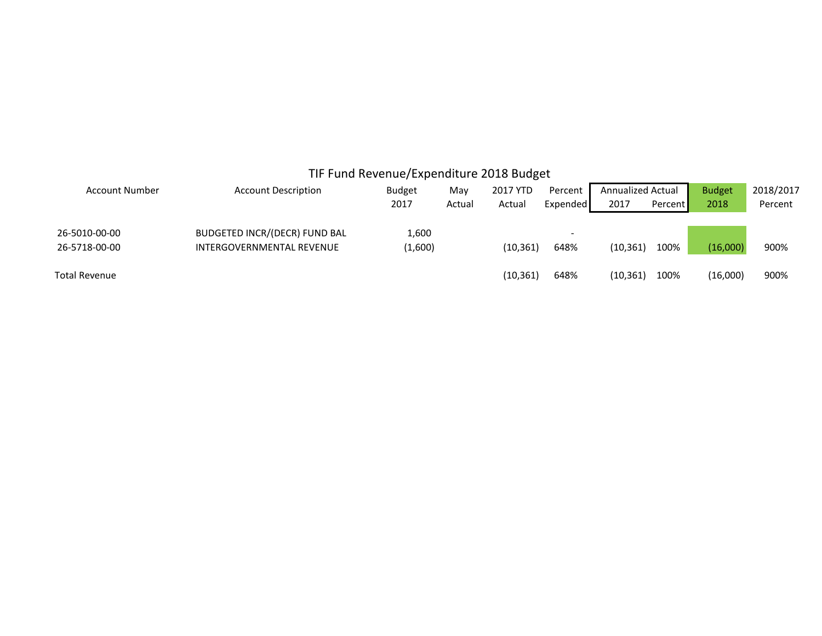|                                |                                                                   | TIF Fund Revenue/Expenditure 2018 Budget |               |                    |                     |                                  |         |                       |                      |
|--------------------------------|-------------------------------------------------------------------|------------------------------------------|---------------|--------------------|---------------------|----------------------------------|---------|-----------------------|----------------------|
| Account Number                 | <b>Account Description</b>                                        | <b>Budget</b><br>2017                    | May<br>Actual | 2017 YTD<br>Actual | Percent<br>Expended | <b>Annualized Actual</b><br>2017 | Percent | <b>Budget</b><br>2018 | 2018/2017<br>Percent |
| 26-5010-00-00<br>26-5718-00-00 | <b>BUDGETED INCR/(DECR) FUND BAL</b><br>INTERGOVERNMENTAL REVENUE | 1,600<br>(1,600)                         |               | (10, 361)          | 648%                | (10, 361)                        | 100%    | (16,000)              | 900%                 |
| <b>Total Revenue</b>           |                                                                   |                                          |               | (10, 361)          | 648%                | (10, 361)                        | 100%    | (16,000)              | 900%                 |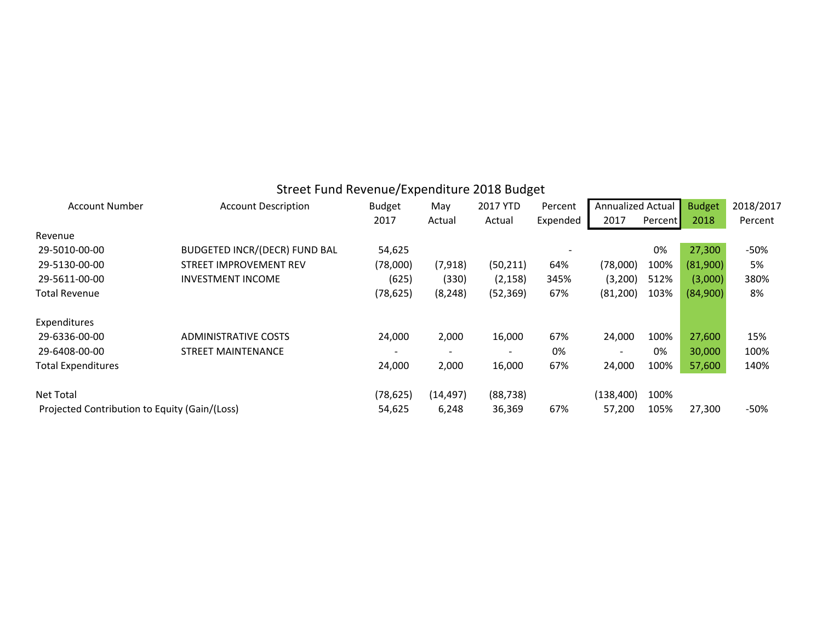|                                               | Street Fand Hevende/Experience 2010 Dauget |               |           |           |          |                   |         |               |           |
|-----------------------------------------------|--------------------------------------------|---------------|-----------|-----------|----------|-------------------|---------|---------------|-----------|
| <b>Account Number</b>                         | <b>Account Description</b>                 | <b>Budget</b> | May       | 2017 YTD  | Percent  | Annualized Actual |         | <b>Budget</b> | 2018/2017 |
|                                               |                                            | 2017          | Actual    | Actual    | Expended | 2017              | Percent | 2018          | Percent   |
| Revenue                                       |                                            |               |           |           |          |                   |         |               |           |
| 29-5010-00-00                                 | <b>BUDGETED INCR/(DECR) FUND BAL</b>       | 54,625        |           |           |          |                   | 0%      | 27,300        | -50%      |
| 29-5130-00-00                                 | <b>STREET IMPROVEMENT REV</b>              | (78,000)      | (7, 918)  | (50, 211) | 64%      | (78,000)          | 100%    | (81,900)      | 5%        |
| 29-5611-00-00                                 | INVESTMENT INCOME                          | (625)         | (330)     | (2, 158)  | 345%     | (3,200)           | 512%    | (3,000)       | 380%      |
| <b>Total Revenue</b>                          |                                            | (78, 625)     | (8, 248)  | (52, 369) | 67%      | (81,200)          | 103%    | (84,900)      | 8%        |
| Expenditures                                  |                                            |               |           |           |          |                   |         |               |           |
| 29-6336-00-00                                 | <b>ADMINISTRATIVE COSTS</b>                | 24,000        | 2,000     | 16,000    | 67%      | 24,000            | 100%    | 27,600        | 15%       |
| 29-6408-00-00                                 | <b>STREET MAINTENANCE</b>                  |               |           |           | 0%       |                   | 0%      | 30,000        | 100%      |
| <b>Total Expenditures</b>                     |                                            | 24,000        | 2,000     | 16,000    | 67%      | 24,000            | 100%    | 57,600        | 140%      |
| <b>Net Total</b>                              |                                            | (78, 625)     | (14, 497) | (88, 738) |          | (138, 400)        | 100%    |               |           |
| Projected Contribution to Equity (Gain/(Loss) |                                            | 54,625        | 6,248     | 36,369    | 67%      | 57,200            | 105%    | 27,300        | $-50%$    |

### Street Fund Revenue/Expenditure 2018 Budget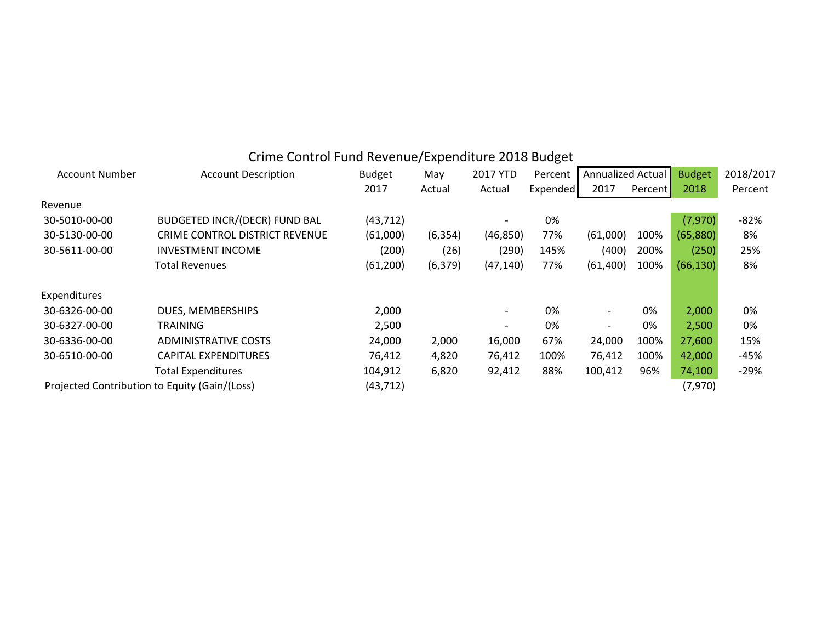|                       | Critic Control Fund Revenue/ Experiencie 2010 Duuget |               |          |                              |          |                          |         |               |           |
|-----------------------|------------------------------------------------------|---------------|----------|------------------------------|----------|--------------------------|---------|---------------|-----------|
| <b>Account Number</b> | <b>Account Description</b>                           | <b>Budget</b> | May      | 2017 YTD                     | Percent  | <b>Annualized Actual</b> |         | <b>Budget</b> | 2018/2017 |
|                       |                                                      | 2017          | Actual   | Actual                       | Expended | 2017                     | Percent | 2018          | Percent   |
| Revenue               |                                                      |               |          |                              |          |                          |         |               |           |
| 30-5010-00-00         | <b>BUDGETED INCR/(DECR) FUND BAL</b>                 | (43, 712)     |          | $\overline{\phantom{a}}$     | 0%       |                          |         | (7,970)       | $-82%$    |
| 30-5130-00-00         | CRIME CONTROL DISTRICT REVENUE                       | (61,000)      | (6, 354) | (46, 850)                    | 77%      | (61,000)                 | 100%    | (65,880)      | 8%        |
| 30-5611-00-00         | <b>INVESTMENT INCOME</b>                             | (200)         | (26)     | (290)                        | 145%     | (400)                    | 200%    | (250)         | 25%       |
|                       | <b>Total Revenues</b>                                | (61, 200)     | (6, 379) | (47, 140)                    | 77%      | (61, 400)                | 100%    | (66, 130)     | 8%        |
| Expenditures          |                                                      |               |          |                              |          |                          |         |               |           |
| 30-6326-00-00         | DUES, MEMBERSHIPS                                    | 2,000         |          | $\overline{\phantom{a}}$     | 0%       | $\overline{\phantom{a}}$ | 0%      | 2,000         | 0%        |
| 30-6327-00-00         | <b>TRAINING</b>                                      | 2,500         |          | $\qquad \qquad \blacksquare$ | 0%       | $\overline{\phantom{a}}$ | 0%      | 2,500         | 0%        |
| 30-6336-00-00         | <b>ADMINISTRATIVE COSTS</b>                          | 24,000        | 2,000    | 16,000                       | 67%      | 24,000                   | 100%    | 27,600        | 15%       |
| 30-6510-00-00         | <b>CAPITAL EXPENDITURES</b>                          | 76,412        | 4,820    | 76,412                       | 100%     | 76,412                   | 100%    | 42,000        | $-45%$    |
|                       | <b>Total Expenditures</b>                            | 104,912       | 6,820    | 92,412                       | 88%      | 100,412                  | 96%     | 74,100        | $-29%$    |
|                       | Projected Contribution to Equity (Gain/(Loss)        | (43, 712)     |          |                              |          |                          |         | (7,970)       |           |

### Crime Control Fund Revenue/Expenditure 2018 Budget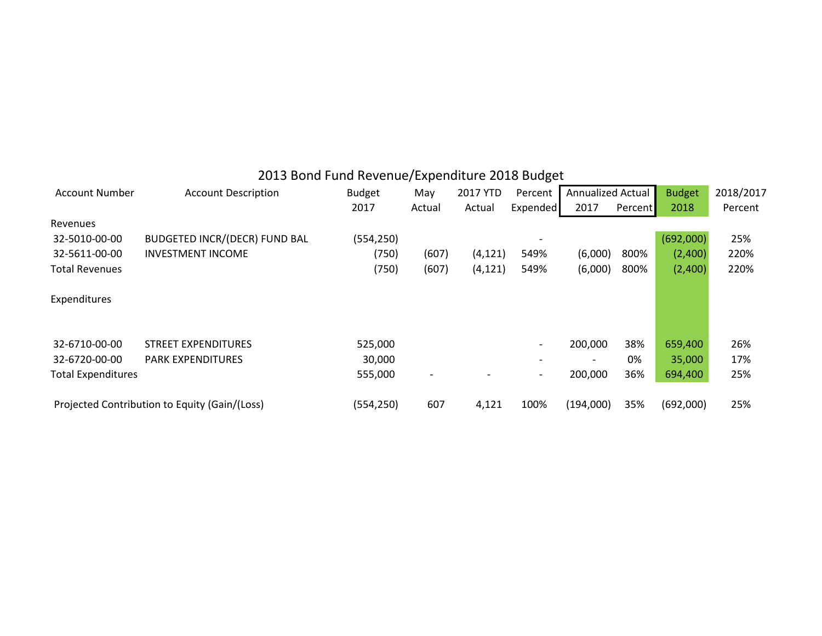# 2013 Bond Fund Revenue/Expenditure 2018 Budget

| <b>Account Number</b>     | <b>Account Description</b>                    | <b>Budget</b> | May    | 2017 YTD | Percent                  | Annualized Actual |         | <b>Budget</b> | 2018/2017 |
|---------------------------|-----------------------------------------------|---------------|--------|----------|--------------------------|-------------------|---------|---------------|-----------|
|                           |                                               | 2017          | Actual | Actual   | Expended                 | 2017              | Percent | 2018          | Percent   |
| Revenues                  |                                               |               |        |          |                          |                   |         |               |           |
| 32-5010-00-00             | <b>BUDGETED INCR/(DECR) FUND BAL</b>          | (554, 250)    |        |          |                          |                   |         | (692,000)     | 25%       |
| 32-5611-00-00             | <b>INVESTMENT INCOME</b>                      | (750)         | (607)  | (4, 121) | 549%                     | (6,000)           | 800%    | (2,400)       | 220%      |
| <b>Total Revenues</b>     |                                               | (750)         | (607)  | (4, 121) | 549%                     | (6,000)           | 800%    | (2,400)       | 220%      |
| Expenditures              |                                               |               |        |          |                          |                   |         |               |           |
| 32-6710-00-00             | <b>STREET EXPENDITURES</b>                    | 525,000       |        |          | -                        | 200,000           | 38%     | 659,400       | 26%       |
| 32-6720-00-00             | <b>PARK EXPENDITURES</b>                      | 30,000        |        |          |                          |                   | 0%      | 35,000        | 17%       |
| <b>Total Expenditures</b> |                                               | 555,000       |        |          | $\overline{\phantom{a}}$ | 200,000           | 36%     | 694,400       | 25%       |
|                           | Projected Contribution to Equity (Gain/(Loss) | (554, 250)    | 607    | 4,121    | 100%                     | (194,000)         | 35%     | (692,000)     | 25%       |